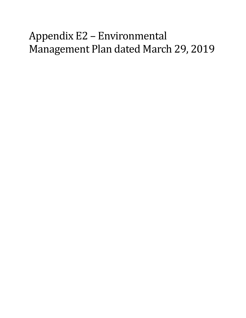## Appendix E2 – Environmental Management Plan dated March 29, 2019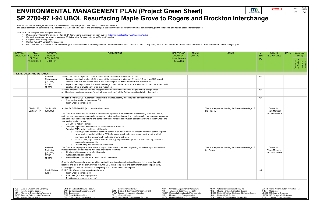This "Environmental Management Plan" is a reference tool to guide project personnel in construction delivery.

- *1. See Highway Project Development Plan (HPDP) for general information on each subject [\(http://www.dot.state.mn.us/planning/hpdp/\)](http://www.dot.state.mn.us/planning/hpdp/)*
- *2. For each applicable row, enter project-specific information for each column. Add rows if needed.*
- *3. Complete rows as they apply.*
- *4. Contact "MnDOT Contact" for questions.*
- 5. For conversion to a 'Green Sheet': Hide non-applicable rows and the following columns: 'Reference Document', 'MnDOT Contact', 'Pay Item', 'Who is responsible' and delete these instructions. Then convert tan banners to l

The actual commitment documents (e.g., permits, NEPA documents, plans, and provisions) are the definitive source for environmental commitments, permit conditions, and related actions for compliance.

| m                                             | 3/29/2019 | <b>SHEET</b>   | <b>TOTAL</b><br><b>SHEETS</b> |
|-----------------------------------------------|-----------|----------------|-------------------------------|
| <b>DEPARTMENT OF</b><br><b>TRANSPORTATION</b> |           | E <sub>1</sub> | E#                            |
| Interchange                                   |           |                |                               |

| <b>STATION/</b> | <b>PLAN</b><br>LOCATION SECTION #                                                                                                                                                    | AGENCY/<br>PERMIT/                                  | <b>COMMITMENT</b>                                                                                                                                                                                                                                                                                                                                                                                                                                                                                                                                                                                                                                                                                                                                                                                                                                                                                                                                                                                                                                  | <b>REFERENCE</b><br><b>DOCUMENT</b>                                                                                                                                                             | <b>MnDOT</b><br><b>CONTACT</b> | <b>NOTES</b>                                                                                                                                                                                                                               | Pay<br>Item | WHO IS<br><b>RESPONSIBLE</b>                                                                                                                                              | <b>DATE</b> | Completion<br>(initial)             |
|-----------------|--------------------------------------------------------------------------------------------------------------------------------------------------------------------------------------|-----------------------------------------------------|----------------------------------------------------------------------------------------------------------------------------------------------------------------------------------------------------------------------------------------------------------------------------------------------------------------------------------------------------------------------------------------------------------------------------------------------------------------------------------------------------------------------------------------------------------------------------------------------------------------------------------------------------------------------------------------------------------------------------------------------------------------------------------------------------------------------------------------------------------------------------------------------------------------------------------------------------------------------------------------------------------------------------------------------------|-------------------------------------------------------------------------------------------------------------------------------------------------------------------------------------------------|--------------------------------|--------------------------------------------------------------------------------------------------------------------------------------------------------------------------------------------------------------------------------------------|-------------|---------------------------------------------------------------------------------------------------------------------------------------------------------------------------|-------------|-------------------------------------|
|                 | <b>SPECIAL</b><br><b>PROVISION#</b>                                                                                                                                                  | <b>REGULATION</b><br>/ OTHER                        |                                                                                                                                                                                                                                                                                                                                                                                                                                                                                                                                                                                                                                                                                                                                                                                                                                                                                                                                                                                                                                                    | (hyperlink docs<br>if possible)                                                                                                                                                                 |                                |                                                                                                                                                                                                                                            | (Y)         |                                                                                                                                                                           |             | Contractor<br>verification<br>MnDOT |
|                 | <b>RIVERS, LAKES, AND WETLANDS</b>                                                                                                                                                   |                                                     |                                                                                                                                                                                                                                                                                                                                                                                                                                                                                                                                                                                                                                                                                                                                                                                                                                                                                                                                                                                                                                                    |                                                                                                                                                                                                 |                                |                                                                                                                                                                                                                                            |             |                                                                                                                                                                           |             |                                     |
|                 |                                                                                                                                                                                      | Wetland<br>Replacement<br>(USCOE,<br>BWSR,<br>MPCA) | Wetland impact are expected. These impacts will be replaced at a minimum 2:1 ratio.<br>Impacts resulting from the UBOL project will be replaced at a minimum 2;1 ratio, 1;1 via a MnDOT-owned<br>wetland bank in Bank Service Area 7 and remaining will be within another Bank Service Area.<br>Impacts resulting from the Brockton interchange project will be replaced at a minimum 2:1 ratio via either credit<br>$\bullet$<br>purchase from a private bank or on-site mitigation.<br>Wetland impacts associated with the floodplain have been minimized during the preliminary design phase.<br>Additional minimization measures (guardrail, steeper slopes) will be further considered during final design.                                                                                                                                                                                                                                                                                                                                   |                                                                                                                                                                                                 |                                |                                                                                                                                                                                                                                            | N/A<br>N/A  |                                                                                                                                                                           |             |                                     |
|                 |                                                                                                                                                                                      |                                                     | If Section 404 (USCOE) authorization required is required. Identify those impacted by construction<br>Surrounding wetlands (permanent fill)<br>Rush Creek (permanent fill)                                                                                                                                                                                                                                                                                                                                                                                                                                                                                                                                                                                                                                                                                                                                                                                                                                                                         |                                                                                                                                                                                                 |                                |                                                                                                                                                                                                                                            | N/A         |                                                                                                                                                                           |             |                                     |
|                 | Division SP.<br>Section 1717                                                                                                                                                         | Section 404<br>(USCOE).                             | Applied for RGP-004-MN (add permit # when known)<br>The Contractor will submit for review, a Wetland Management & Replacement Plan detailing proposed means,<br>methods and maintenance protocols for erosion control, sediment control, and water quality management measures<br>and a schedule indicating starting and completion times for each construction operation working in Rush Creek and<br>surrounding wetland areas.<br>List Critical Activity Point(s)<br>In-slopes adjacent to wetlands will be steepened from 1:6 to 1:4.<br>Potential BMPs to be considered will include:<br>Down-gradient perimeter sediment control such as silt fence. Redundant perimeter control required<br>when work is needed within the 50' buffer zone. Install redundant measures 5' from the initial<br>perimeter control measure with stabilized ground between.<br>Ditch checks, rapid stabilization measures, pump inlet/outlet protection from scouring, stabilized<br>construction access, etc.<br>o Avoid rutting and compaction of soft soils. |                                                                                                                                                                                                 |                                | This is a requirement during the Construction stage of<br>the Project.                                                                                                                                                                     |             | Contractor:<br><b>Team Member</b><br><b>TBD Post-Award</b>                                                                                                                |             |                                     |
|                 |                                                                                                                                                                                      | Wetland<br>Protection<br>(USCOE,<br>BWSR,<br>MPCA)  | The Contractor to prepare a Final Wetland Impact Plan, which is an as-built grading plan showing actual wetland<br>impacts for Work areas affecting wetlands. Include the following:<br>Final as-built contours with 1-foot intervals<br>$\bullet$<br>Wetland impact boundaries<br>Wetland impact boundaries shown in permit documents<br>Quantify all differences between permitted wetland impacts and actual wetland impacts, list in table format by<br>location, and label on the plan. Provide MnDOT ECM with a temporary and permanent wetland impact table,<br>including justification for increases to temporary and permanent wetland impacts.                                                                                                                                                                                                                                                                                                                                                                                           |                                                                                                                                                                                                 |                                | This is a requirement during the Construction stage of<br>the Project.                                                                                                                                                                     |             | Contractor:<br>Team Member<br><b>TBD Post-Award</b>                                                                                                                       |             |                                     |
|                 |                                                                                                                                                                                      | <b>Public Waters</b><br>(DNR)                       | DNR Public Waters in the project area include:<br>Rush Creek (permanent fill)<br>$\bullet$<br>Rice Lake (no impacts proposed)<br>$\bullet$<br>Elm Creek (no impacts proposed)<br>$\bullet$                                                                                                                                                                                                                                                                                                                                                                                                                                                                                                                                                                                                                                                                                                                                                                                                                                                         |                                                                                                                                                                                                 |                                |                                                                                                                                                                                                                                            | N/A         |                                                                                                                                                                           |             |                                     |
|                 |                                                                                                                                                                                      |                                                     |                                                                                                                                                                                                                                                                                                                                                                                                                                                                                                                                                                                                                                                                                                                                                                                                                                                                                                                                                                                                                                                    |                                                                                                                                                                                                 |                                |                                                                                                                                                                                                                                            |             |                                                                                                                                                                           |             |                                     |
| AES<br>AIS      | Area of Environmental Sensitivity<br>Aquatic Invasive Species<br>ATP Alternative Transportation Partnership<br>BWSR Board of Water and Soil Resources<br>CRU Cultural Resources Unit |                                                     | DNR Department of Natural Resources<br><b>Environmental Review</b><br>ER<br>MDA<br>EAU Environmental Assessment Unit<br>Erosion & Stormwater Management Unit<br><b>ESM</b><br>MDH<br>END Endangered<br>FHWA Federal Highway Administration<br><b>ENM Early Notification Memo</b><br><b>General Permit</b><br>GP<br>MOU<br>MCES Met Council Environmental Services<br>EIU Environmental Investigation Unit                                                                                                                                                                                                                                                                                                                                                                                                                                                                                                                                                                                                                                          | Minnesota Department of Agriculture<br>Minnesota Department of Health<br>MnDOT Minnesota Department of Transportation<br>Memorandum of Understanding<br>MPCA Minnesota Pollution Control Agency |                                | NEPA National Environmental Policy Act<br>Natural Heritage Information System<br>NHIS<br>NPDES National Pollution Discharge Elimination System<br><b>National Park Service</b><br><b>NPS</b><br>OES<br>Office of Environmental Stewardship |             | SWPPP Storm Water Pollution Prevention Plan<br>THR Threatened<br><b>USCOE US Corps of Engineers</b><br>USFWS US Fish and Wildlife Service<br>WCA Wetland Conservation Act |             |                                     |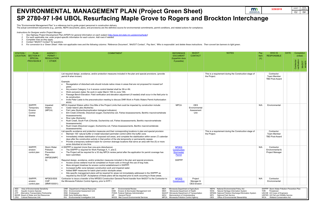This "Environmental Management Plan" is a reference tool to guide project personnel in construction delivery.

- *1. See Highway Project Development Plan (HPDP) for general information on each subject [\(http://www.dot.state.mn.us/planning/hpdp/\)](http://www.dot.state.mn.us/planning/hpdp/)*
- *2. For each applicable row, enter project-specific information for each column. Add rows if needed.*
- *3. Complete rows as they apply.*
- *4. Contact "MnDOT Contact" for questions.*
- 5. For conversion to a 'Green Sheet': Hide non-applicable rows and the following columns: 'Reference Document', 'MnDOT Contact', 'Pay Item', 'Who is responsible' and delete these instructions. Then convert tan banners to l

The actual commitment documents (e.g., permits, NEPA documents, plans, and provisions) are the definitive source for environmental commitments, permit conditions, and related actions for compliance.

|                                               |      | 3/29/2019          |             | <b>SHEET</b>          | <b>TOTAL</b><br><b>SHEETS</b> |  |  |  |  |  |
|-----------------------------------------------|------|--------------------|-------------|-----------------------|-------------------------------|--|--|--|--|--|
| <b>DEPARTMENT OF</b><br><b>TRANSPORTATION</b> |      |                    |             | E2                    | E#                            |  |  |  |  |  |
| <b>Interchange</b>                            |      |                    |             |                       |                               |  |  |  |  |  |
|                                               |      |                    |             |                       |                               |  |  |  |  |  |
|                                               |      |                    |             |                       |                               |  |  |  |  |  |
|                                               |      |                    |             |                       |                               |  |  |  |  |  |
|                                               |      |                    |             |                       |                               |  |  |  |  |  |
|                                               |      |                    |             |                       |                               |  |  |  |  |  |
|                                               |      |                    |             |                       |                               |  |  |  |  |  |
| nt green.                                     |      |                    |             |                       |                               |  |  |  |  |  |
|                                               |      |                    |             |                       |                               |  |  |  |  |  |
| ś                                             | Pay  | <b>WHO IS</b>      | <b>DATE</b> | Completion            |                               |  |  |  |  |  |
|                                               | Item | <b>RESPONSIBLE</b> |             | (initial)             |                               |  |  |  |  |  |
|                                               | (Y)  |                    |             |                       |                               |  |  |  |  |  |
|                                               |      |                    |             | ification<br>ntractor | <b>cepts</b><br>nDOT          |  |  |  |  |  |

| STATION /<br><b>LOCATION</b> | <b>PLAN</b><br>$\vert$ SECTION #<br><b>SPECIAL</b><br><b>PROVISION #</b>                                                                                                                    | AGENCY /<br>PERMIT/<br><b>REGULATION</b><br>/ OTHER                       | <b>COMMITMENT</b>                                                                                                                                                                                                                                                                                                                                                                                                                                                                                                                                                                                                                                                                                                                                                                                                                                                                                         | <b>REFERENCE</b><br><b>DOCUMENT</b><br>(hyperlink docs<br>if possible)                                                                                                                          | <b>MnDOT</b><br><b>CONTACT</b>                    | <b>NOTES</b>                                                                                                                                                                                                                               | Pay<br><b>Item</b><br>(Y) | WHO IS<br><b>RESPONSIBLE</b>                                                                                                                                   | <b>DATE</b> | Completion<br>(initial)<br>Contractor<br>verification<br>MnDOT |
|------------------------------|---------------------------------------------------------------------------------------------------------------------------------------------------------------------------------------------|---------------------------------------------------------------------------|-----------------------------------------------------------------------------------------------------------------------------------------------------------------------------------------------------------------------------------------------------------------------------------------------------------------------------------------------------------------------------------------------------------------------------------------------------------------------------------------------------------------------------------------------------------------------------------------------------------------------------------------------------------------------------------------------------------------------------------------------------------------------------------------------------------------------------------------------------------------------------------------------------------|-------------------------------------------------------------------------------------------------------------------------------------------------------------------------------------------------|---------------------------------------------------|--------------------------------------------------------------------------------------------------------------------------------------------------------------------------------------------------------------------------------------------|---------------------------|----------------------------------------------------------------------------------------------------------------------------------------------------------------|-------------|----------------------------------------------------------------|
|                              |                                                                                                                                                                                             |                                                                           | List required design, avoidance, and/or protection measures included in the plan and special provisions. (provide<br>permit # when known)<br>Example:<br>Revegetation of disturbed soils should include native mixes in areas that are not proposed for mowed turf<br>grass<br>Any erosion Category 3 or 4 erosion control blanket shall be 3N or 4N.<br>Work exclusion dates: No work in water March 15th to June 15th.<br>Passage Bench Elevation: Field verification and elevation adjustment (if needed) shall occur in the field prior to<br>its construction.<br>Invite Peter Leete to the preconstruction meeting to discuss DNR Work in Public Waters Permit Authorization<br>$\bullet$<br>#XXX.                                                                                                                                                                                                  |                                                                                                                                                                                                 |                                                   | This is a requirement during the Construction stage of<br>the Project.                                                                                                                                                                     |                           | Contractor:<br><b>Team Member</b><br><b>TBD Post-Award</b>                                                                                                     |             |                                                                |
|                              | SWPPP,<br>Temporary<br>Erosion<br>Control<br><b>Sheets</b>                                                                                                                                  | Impaired<br>Waters<br>(MPCA)                                              | MPCA Impaired Waters within One Mile of the Project Limits that could be impacted by construction include:<br>Cedar Island Lake (Nutrients)<br>Fish Lake (Nutrient/eutrophication biological indicators)<br>Elm Creek (Chloride, Dissolved oxygen, Escherichia coli, Fishes bioassessments, Benthic macroinvertebrate<br>$\bullet$<br>bioassessments)<br>Rice Lake (Nutrients)<br>Rush Creek, South Fork (Chloride, Escherichia coli, Fishes bioassessments, Benthic macroinvertebrate<br>bioassessments)<br>Rush Creek (Dissolved oxygen, Escherichia coli, Fishes bioassessments, Benthic macroinvertebrate<br>bioassessments)                                                                                                                                                                                                                                                                          | <b>MPCA</b>                                                                                                                                                                                     | <b>OES</b><br>Environmental<br>Assessment<br>Unit |                                                                                                                                                                                                                                            | N/A                       | Environmental                                                                                                                                                  |             |                                                                |
|                              |                                                                                                                                                                                             |                                                                           | List specific avoidance and protection measures and their corresponding locations in plan and special provision<br>Maintain 100' natural buffer or install redundant perimeter control within the buffer zone<br>Immediately initiate stabilization of exposed soil areas, and complete the stabilization within seven (7) calendar<br>days after the construction activity in that portion of the site temporarily or permanently ceases<br>Provide a temporary sediment basin for common drainage locations that serve an area with five (5) or more<br>acres disturbed at one time                                                                                                                                                                                                                                                                                                                     |                                                                                                                                                                                                 |                                                   | This is a requirement during the Construction stage of<br>the Project.                                                                                                                                                                     |                           | Contractor:<br>Team Member<br><b>TBD Post-Award</b>                                                                                                            |             |                                                                |
|                              | SWPPP.<br>erosion<br>control plan                                                                                                                                                           | <b>Storm Water</b><br>Pollution<br>Prevention<br>Plan<br>(NPDES/MPC<br>A) | A SWPPP is required (more than one-acre disturbance).<br>The SWPPP is required for Work Package X, Y, and Z.<br>$\bullet$<br>The Project will be required for a 30 day MPCA review period after the application for permit coverage has<br>been submitted.<br>Required design, avoidance, and/or protection measures included in the plan and special provisions.<br>Access across wetland must be completed on frozen soils or through the use of bog mats.<br>More stringent timelines for erosion control establishment in SWPPP.<br>Increased buffer zone between construction work and impaired water.<br>Added BMP measures for batch plant and/or stockpile areas.<br>$\bullet$<br>Site specific management plans will be required for areas not immediately addressed in the SWPPP as<br>required by the ECQP. Acceptance of these plans will be required prior to work occurring in those areas. | <b>NPDES</b><br><b>Construction</b><br>Stormwater<br>Permit<br><b>SWPPP</b>                                                                                                                     |                                                   |                                                                                                                                                                                                                                            | N/A                       | Contractor<br>Environmental &<br><b>Project Manager</b>                                                                                                        |             |                                                                |
|                              | SWPPP.<br>erosion<br>control plan                                                                                                                                                           | NPDES/SDS<br><b>CGP</b><br>(MNR100001)                                    | Contractor to issue a transfer of the NPDES Construction General Permit transfer from MnDOT to the Contractor to<br>the Minnesota Pollution Control Agency, prior to NTP I.                                                                                                                                                                                                                                                                                                                                                                                                                                                                                                                                                                                                                                                                                                                               | <b>NPDES</b><br><b>Construction</b>                                                                                                                                                             | Project<br>Manager &<br><b>OES</b> Erosion        |                                                                                                                                                                                                                                            | N/A                       | Contractor<br>Environmental                                                                                                                                    |             |                                                                |
| AES<br>AIS                   | Area of Environmental Sensitivity<br><b>Aquatic Invasive Species</b><br>ATP Alternative Transportation Partnership<br>BWSR Board of Water and Soil Resources<br>CRU Cultural Resources Unit |                                                                           | DNR Department of Natural Resources<br>ER<br><b>Environmental Review</b><br>MDA<br>EAU Environmental Assessment Unit<br>ESM<br>Erosion & Stormwater Management Unit<br><b>MDH</b><br>END Endangered<br>FHWA Federal Highway Administration<br><b>ENM Early Notification Memo</b><br><b>General Permit</b><br>GP<br>MOU<br>EIU Environmental Investigation Unit<br>MCES Met Council Environmental Services                                                                                                                                                                                                                                                                                                                                                                                                                                                                                                 | Minnesota Department of Agriculture<br>Minnesota Department of Health<br>MnDOT Minnesota Department of Transportation<br>Memorandum of Understanding<br>MPCA Minnesota Pollution Control Agency |                                                   | NEPA National Environmental Policy Act<br>Natural Heritage Information System<br>NHIS<br>NPDES National Pollution Discharge Elimination System<br><b>National Park Service</b><br><b>NPS</b><br>OES<br>Office of Environmental Stewardship | <b>THR</b>                | SWPPP Storm Water Pollution Prevention Plan<br>Threatened<br>USCOE US Corps of Engineers<br>USFWS US Fish and Wildlife Service<br>WCA Wetland Conservation Act |             |                                                                |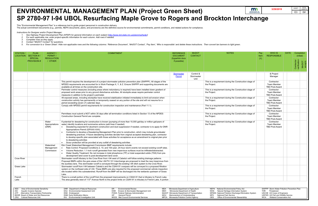This "Environmental Management Plan" is a reference tool to guide project personnel in construction delivery.

- *2. For each applicable row, enter project-specific information for each column. Add rows if needed.*
- *3. Complete rows as they apply.*
- *4. Contact "MnDOT Contact" for questions.*
- 5. For conversion to a 'Green Sheet': Hide non-applicable rows and the following columns: 'Reference Document', 'MnDOT Contact', 'Pay Item', 'Who is responsible' and delete these instructions. Then convert tan banners to l

The actual commitment documents (e.g., permits, NEPA documents, plans, and provisions) are the definitive source for environmental commitments, permit conditions, and related actions for compliance.

*Instructions for Designer and/or Project Manager:*

*1. See Highway Project Development Plan (HPDP) for general information on each subject [\(http://www.dot.state.mn.us/planning/hpdp/\)](http://www.dot.state.mn.us/planning/hpdp/)*

| m                                             | 3/29/2019 | <b>SHEET</b>   | TOTAL<br><b>SHEETS</b> |
|-----------------------------------------------|-----------|----------------|------------------------|
| <b>DEPARTMENT OF</b><br><b>TRANSPORTATION</b> |           | E <sub>3</sub> | E#                     |
| <b>Interchange</b>                            |           |                |                        |
|                                               |           |                |                        |

| <b>STATION/</b><br>LOCATION | <b>PLAN</b><br>$\vert$ SECTION # /                                                                                                                                                          | AGENCY/<br>PERMIT/                                                                                                                                                                                                                                                                                                                                                 | <b>COMMITMENT</b>                                                                                                                                                                                                                                                                                                                                                                                                                                                                                                                                                                                                                                                                                                                                                                                           | <b>REFERENCE</b><br><b>DOCUMENT</b>                                                                                                                                                             | <b>MnDOT</b><br><b>CONTACT</b>  | <b>NOTES</b>                                                                                                                                                                                                                        | Pay<br>Item | WHO IS<br><b>RESPONSIBLE</b>                                                                                                                                              | <b>DATE</b> | Completion<br>(initial)             |
|-----------------------------|---------------------------------------------------------------------------------------------------------------------------------------------------------------------------------------------|--------------------------------------------------------------------------------------------------------------------------------------------------------------------------------------------------------------------------------------------------------------------------------------------------------------------------------------------------------------------|-------------------------------------------------------------------------------------------------------------------------------------------------------------------------------------------------------------------------------------------------------------------------------------------------------------------------------------------------------------------------------------------------------------------------------------------------------------------------------------------------------------------------------------------------------------------------------------------------------------------------------------------------------------------------------------------------------------------------------------------------------------------------------------------------------------|-------------------------------------------------------------------------------------------------------------------------------------------------------------------------------------------------|---------------------------------|-------------------------------------------------------------------------------------------------------------------------------------------------------------------------------------------------------------------------------------|-------------|---------------------------------------------------------------------------------------------------------------------------------------------------------------------------|-------------|-------------------------------------|
|                             | <b>SPECIAL</b><br><b>PROVISION#</b>                                                                                                                                                         | <b>REGULATION</b><br>/ OTHER                                                                                                                                                                                                                                                                                                                                       |                                                                                                                                                                                                                                                                                                                                                                                                                                                                                                                                                                                                                                                                                                                                                                                                             | (hyperlink docs<br>if possible)                                                                                                                                                                 |                                 |                                                                                                                                                                                                                                     | (Y)         |                                                                                                                                                                           |             |                                     |
|                             |                                                                                                                                                                                             |                                                                                                                                                                                                                                                                                                                                                                    |                                                                                                                                                                                                                                                                                                                                                                                                                                                                                                                                                                                                                                                                                                                                                                                                             |                                                                                                                                                                                                 |                                 |                                                                                                                                                                                                                                     |             |                                                                                                                                                                           |             | Contractor<br>verification<br>MnDOT |
|                             |                                                                                                                                                                                             |                                                                                                                                                                                                                                                                                                                                                                    |                                                                                                                                                                                                                                                                                                                                                                                                                                                                                                                                                                                                                                                                                                                                                                                                             | Stormwater<br>Permit                                                                                                                                                                            | Control &<br>Stormwater<br>Unit |                                                                                                                                                                                                                                     |             | & Project<br>Manager                                                                                                                                                      |             |                                     |
|                             |                                                                                                                                                                                             |                                                                                                                                                                                                                                                                                                                                                                    | This permit requires the development of a project stormwater pollution prevention plan (SWPPP). All stages of the<br>NPDES requirements are accounted for in Work Package X, Y, & Z. Ensure SWPPP and supporting documents are<br>available at all times on the construction site.                                                                                                                                                                                                                                                                                                                                                                                                                                                                                                                          |                                                                                                                                                                                                 |                                 | This is a requirement during the Construction stage of<br>the Project.                                                                                                                                                              |             | Contractor:<br><b>Team Member</b><br><b>TBD Post-Award</b>                                                                                                                |             |                                     |
|                             |                                                                                                                                                                                             |                                                                                                                                                                                                                                                                                                                                                                    | Perimeter control measures (including areas where redundancy is required) have been installed down gradient of<br>proposed work areas prior to any ground disturbance activities. All stockpile areas require perimeter control<br>measures in addition to the project's perimeter.                                                                                                                                                                                                                                                                                                                                                                                                                                                                                                                         |                                                                                                                                                                                                 |                                 | This is a requirement during the Construction stage of<br>the Project.                                                                                                                                                              |             | Contractor:<br><b>Team Member</b><br><b>TBD Post-Award</b>                                                                                                                |             |                                     |
|                             |                                                                                                                                                                                             |                                                                                                                                                                                                                                                                                                                                                                    | All exposed areas, including stockpiles have received stabilization initiated immediately to limit soil erosion when<br>construction activity has permanently or temporarily ceased on any portion of the site and will not resume for a<br>period exceeding seven (7) calendar days.                                                                                                                                                                                                                                                                                                                                                                                                                                                                                                                       |                                                                                                                                                                                                 |                                 | This is a requirement during the Construction stage of<br>the Project.                                                                                                                                                              |             | Contractor:<br><b>Team Member</b><br><b>TBD Post-Award</b>                                                                                                                |             |                                     |
|                             |                                                                                                                                                                                             |                                                                                                                                                                                                                                                                                                                                                                    | Comply with NPDES permit requirements for construction inspection and maintenance (Part 11.1).                                                                                                                                                                                                                                                                                                                                                                                                                                                                                                                                                                                                                                                                                                              |                                                                                                                                                                                                 |                                 | This is a requirement during the Construction stage of<br>the Project.                                                                                                                                                              |             | Contractor:<br><b>Team Member</b><br><b>TBD Post-Award</b>                                                                                                                |             |                                     |
|                             |                                                                                                                                                                                             |                                                                                                                                                                                                                                                                                                                                                                    | Permittees must submit a NOT within 30 days after all termination conditions listed in Section 13 of the NPDES<br>Construction General Permit are complete.                                                                                                                                                                                                                                                                                                                                                                                                                                                                                                                                                                                                                                                 |                                                                                                                                                                                                 |                                 | This is a requirement during the Construction stage of<br>the Project.                                                                                                                                                              |             | Contractor:<br><b>Team Member</b><br><b>TBD Post-Award</b>                                                                                                                |             |                                     |
|                             |                                                                                                                                                                                             | Water<br>Appropriations<br>(DNR)                                                                                                                                                                                                                                                                                                                                   | If potential for dewatering for construction is known (pumping of more than 10,000 gal/day or million gal/years of<br>water) identify locations and summarize actions (add lines if needed)<br>Dewatering expected for abutment construction and dust suppression if needed, contractor is to apply for DNR<br>Appropriations Permit (GPXXX-XXX)<br>Contractor to develop a Dewatering Management Plan prior to construction, which may include groundwater<br>dewatering practices. If future dewatering activities deviate from original accepted dewatering plan, contractor<br>to develop specific plan associated with those activities for acceptance as an amendment to original plan prior<br>to dewatering activities<br>Scour protection will be provided at any outfall of dewatering activities |                                                                                                                                                                                                 |                                 | This is a requirement during the Construction stage of<br>the Project.                                                                                                                                                              |             | Contractor:<br><b>Team Member</b><br><b>TBD Post-Award</b>                                                                                                                |             |                                     |
|                             |                                                                                                                                                                                             | Watershed<br>Management<br>Commission                                                                                                                                                                                                                                                                                                                              | Elm Creek Watershed Management Commission BMP requirements include:<br>Rate Control: Proposed Conditions 2, 10, and 100-year, 24-hour storm events not exceed existing runoff rates.<br>Volume Reduction: 1.1-inch runoff generated from new impervious surfaces must be infiltrated/abstracted.<br>Water Quality Treatment: No net increase in total phosphorus (TP) or total suspended solids (TSS) from pre-<br>$\bullet$<br>development land cover to post-development land cover.                                                                                                                                                                                                                                                                                                                      |                                                                                                                                                                                                 |                                 |                                                                                                                                                                                                                                     |             |                                                                                                                                                                           |             |                                     |
| <b>Crow River</b>           |                                                                                                                                                                                             |                                                                                                                                                                                                                                                                                                                                                                    | Stormwater runoff tributary to the Crow River from I-94 west of Cabela's will follow existing drainage patterns.<br>Proposed BMPs within the gore areas of the I-94/TH 101 Interchange are proposed to treat the new impervious from<br>the auxiliary lane. This stormwater runoff is conveyed through the existing I-94 ditch system to the Crow River.                                                                                                                                                                                                                                                                                                                                                                                                                                                    |                                                                                                                                                                                                 |                                 |                                                                                                                                                                                                                                     |             |                                                                                                                                                                           |             |                                     |
| Grass Lake                  |                                                                                                                                                                                             | Stormwater runoff from I-94 between Cabela's and the CSAH 81 overpass will be conveyed to a proposed filtration<br>system on the northeast side of I-94. These BMPs are also required for the proposed commercial vehicle inspection<br>site located within this subwatershed. Runoff from the BMP will be discharged into the wetlands upstream of Grass<br>Lake. |                                                                                                                                                                                                                                                                                                                                                                                                                                                                                                                                                                                                                                                                                                                                                                                                             |                                                                                                                                                                                                 |                                 |                                                                                                                                                                                                                                     |             |                                                                                                                                                                           |             |                                     |
| French<br>Lake              |                                                                                                                                                                                             | There is a small portion of the runoff from the proposed improvements on CSAH 81 that is tributary to French Lake.<br>The area generally west of 113 <sup>th</sup> Avenue North to the project limits on CSAH 81 is tributary to French Lake. A portion                                                                                                            |                                                                                                                                                                                                                                                                                                                                                                                                                                                                                                                                                                                                                                                                                                                                                                                                             |                                                                                                                                                                                                 |                                 |                                                                                                                                                                                                                                     |             |                                                                                                                                                                           |             |                                     |
|                             |                                                                                                                                                                                             |                                                                                                                                                                                                                                                                                                                                                                    |                                                                                                                                                                                                                                                                                                                                                                                                                                                                                                                                                                                                                                                                                                                                                                                                             |                                                                                                                                                                                                 |                                 |                                                                                                                                                                                                                                     |             |                                                                                                                                                                           |             |                                     |
| AES<br><b>AIS</b>           | Area of Environmental Sensitivity<br><b>Aquatic Invasive Species</b><br>ATP Alternative Transportation Partnership<br>BWSR Board of Water and Soil Resources<br>CRU Cultural Resources Unit |                                                                                                                                                                                                                                                                                                                                                                    | DNR Department of Natural Resources<br><b>Environmental Review</b><br>MDA<br>ER<br>Erosion & Stormwater Management Unit<br>EAU Environmental Assessment Unit<br><b>ESM</b><br>MDH<br>END Endangered<br>FHWA Federal Highway Administration<br><b>ENM Early Notification Memo</b><br><b>GP</b><br><b>General Permit</b><br>MOU<br>MCES Met Council Environmental Services<br>EIU Environmental Investigation Unit                                                                                                                                                                                                                                                                                                                                                                                            | Minnesota Department of Agriculture<br>Minnesota Department of Health<br>MnDOT Minnesota Department of Transportation<br>Memorandum of Understanding<br>MPCA Minnesota Pollution Control Agency |                                 | NEPA National Environmental Policy Act<br>Natural Heritage Information System<br>NHIS<br>NPDES National Pollution Discharge Elimination System<br><b>National Park Service</b><br>NPS<br>OES<br>Office of Environmental Stewardship |             | SWPPP Storm Water Pollution Prevention Plan<br>THR Threatened<br>USCOE US Corps of Engineers<br><b>USFWS US Fish and Wildlife Service</b><br>WCA Wetland Conservation Act |             |                                     |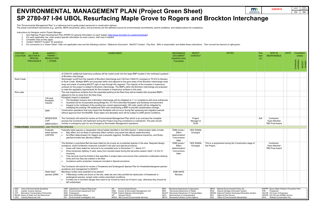This "Environmental Management Plan" is a reference tool to guide project personnel in construction delivery.

The actual commitment documents (e.g., permits, NEPA documents, plans, and provisions) are the definitive source for environmental commitments, permit conditions, and related actions for compliance.

- *1.* See Highway Project Development Plan (HPDP) for general information on each subject [\(http://www.dot.state.mn.us/planning/hpdp/\)](http://www.dot.state.mn.us/planning/hpdp/)<br>2. For each applicable row, enter project-specific information for each column. Add rows
- *2. For each applicable row, enter project-specific information for each column. Add rows if needed.*
- *3. Complete rows as they apply.*
- *4. Contact "MnDOT Contact" for questions.*
- 5. For conversion to a 'Green Sheet': Hide non-applicable rows and the following columns: 'Reference Document', 'MnDOT Contact', 'Pay Item', 'Who is responsible' and delete these instructions. Then convert tan banners to l



| tal Policy Act             |     | SWPPP Storm Water Pollution Prevention Plan |
|----------------------------|-----|---------------------------------------------|
| mation System              | THR | Threatened                                  |
| scharge Elimination System |     | USCOE US Corps of Engineers                 |
|                            |     | USFWS US Fish and Wildlife Service          |
| ıtal Stewardship           | WCA | <b>Wetland Conservation Act</b>             |
|                            |     |                                             |

| STATION /<br><b>LOCATION</b> | <b>PLAN</b><br>SECTION #<br><b>SPECIAL</b><br><b>PROVISION#</b>                                                                                                                             | AGENCY/<br>PERMIT/<br><b>REGULATION</b><br>/ OTHER   | <b>COMMITMENT</b>                                                                                                                                                                                                                                                                                                                                                                                                                                                                                                                                                                                                                                                                                                                                                                                         | <b>REFERENCE</b><br><b>DOCUMENT</b><br>(hyperlink docs<br>if possible)                                                                                                                          | <b>MnDOT</b><br><b>CONTACT</b>     | <b>NOTES</b>                                                                                                                                                                                                                     | Pay<br>Item<br>(Y) | WHO IS<br><b>RESPONSIBLE</b>                                                                                                                                   | <b>DATE</b> | Completion<br>(initial)    |       |
|------------------------------|---------------------------------------------------------------------------------------------------------------------------------------------------------------------------------------------|------------------------------------------------------|-----------------------------------------------------------------------------------------------------------------------------------------------------------------------------------------------------------------------------------------------------------------------------------------------------------------------------------------------------------------------------------------------------------------------------------------------------------------------------------------------------------------------------------------------------------------------------------------------------------------------------------------------------------------------------------------------------------------------------------------------------------------------------------------------------------|-------------------------------------------------------------------------------------------------------------------------------------------------------------------------------------------------|------------------------------------|----------------------------------------------------------------------------------------------------------------------------------------------------------------------------------------------------------------------------------|--------------------|----------------------------------------------------------------------------------------------------------------------------------------------------------------|-------------|----------------------------|-------|
|                              |                                                                                                                                                                                             |                                                      |                                                                                                                                                                                                                                                                                                                                                                                                                                                                                                                                                                                                                                                                                                                                                                                                           |                                                                                                                                                                                                 |                                    |                                                                                                                                                                                                                                  |                    |                                                                                                                                                                |             | Contractor<br>verification | MnDOT |
|                              |                                                                                                                                                                                             |                                                      | of CSAH 81 additional impervious surfaces will be routed south into the large BMP located in the northwest quadrant<br>of Brockton interchange.                                                                                                                                                                                                                                                                                                                                                                                                                                                                                                                                                                                                                                                           |                                                                                                                                                                                                 |                                    |                                                                                                                                                                                                                                  |                    |                                                                                                                                                                |             |                            |       |
| <b>Rush Creek</b>            |                                                                                                                                                                                             |                                                      | Stormwater runoff from the majority of Brockton interchange and I-94 from CSAH 81 overpass to TH 610 is tributary<br>to Rush Creek. Multiple BMPs are proposed within and adjacent to the gore areas of the Brockton interchange ramp<br>loops and areas of existing MnDOT right of way through this segment. The majority of the increase in impervious<br>surfaces for the project is related to Brockton interchange. The BMPs within the Brockton interchange are proposed<br>to meet the regulatory requirements for the increase in impervious surfaces in this area.                                                                                                                                                                                                                               |                                                                                                                                                                                                 |                                    |                                                                                                                                                                                                                                  |                    |                                                                                                                                                                |             |                            |       |
| Rice Lake                    |                                                                                                                                                                                             |                                                      | The new impervious surfaces from the expanded parking at the Rest Area will be treated with proposed BMPs                                                                                                                                                                                                                                                                                                                                                                                                                                                                                                                                                                                                                                                                                                 |                                                                                                                                                                                                 |                                    |                                                                                                                                                                                                                                  |                    |                                                                                                                                                                |             |                            |       |
|                              |                                                                                                                                                                                             | 100-year<br>floodplain<br>impacts                    | adjacent to the on-ramp from the Rest Area.<br>Floodplain impact is expected:<br>The floodplain impacts due to Brockton interchange will be mitigated at 1:1 in compliance with local ordinances.<br>Guardrail will be incorporated along Bridge No. 91178 to eliminate floodplain and floodway encroachment.<br>Impacts to the northwest of the existing box culvert (approximately 160 cubic yards) will be mitigated by<br>modifying the existing I-94 eastbound ditch and constructing a BMP to provide compensatory storage.                                                                                                                                                                                                                                                                         |                                                                                                                                                                                                 |                                    |                                                                                                                                                                                                                                  |                    |                                                                                                                                                                |             |                            |       |
|                              |                                                                                                                                                                                             | <b>DNR</b>                                           | Construction operations that may impact the floodplain will not occur during fish spawning and migration periods<br>without approval from the MnDNR. Exact dates and allowable work will be subject to DNR permit conditions.                                                                                                                                                                                                                                                                                                                                                                                                                                                                                                                                                                             |                                                                                                                                                                                                 |                                    |                                                                                                                                                                                                                                  |                    |                                                                                                                                                                |             |                            |       |
|                              |                                                                                                                                                                                             | NPDES/SDS<br><b>CGP</b><br>(MNR100001)               | The Contractor will submit for review an Environmental Management Plan which is an overview the complete<br>process the Contractor will implement during the Project ensuring compliance is maintained. This plan should<br>include a contingency plan for any Emergency Stormwater Management operations.                                                                                                                                                                                                                                                                                                                                                                                                                                                                                                |                                                                                                                                                                                                 | Project<br>Manager &<br><b>ECM</b> |                                                                                                                                                                                                                                  | N/A                | Contractor:<br><b>Team Member</b><br><b>TBD Post-Award</b>                                                                                                     |             |                            |       |
|                              |                                                                                                                                                                                             | <b>THREATENED, ENDANGERED, AND PROTECTED SPECIES</b> |                                                                                                                                                                                                                                                                                                                                                                                                                                                                                                                                                                                                                                                                                                                                                                                                           |                                                                                                                                                                                                 |                                    |                                                                                                                                                                                                                                  |                    |                                                                                                                                                                |             |                            |       |
|                              |                                                                                                                                                                                             | Federally<br>listed species<br>(USFWS)               | Federally listed species or designated critical habitat identified in the ESA Section 7 determination letter include:<br>May affect, but not likely to adversely affect northern long eared bat (Myotis septentrionalis).<br>$\bullet$<br>No Effect determination for Higgins eye (Lampsilis higginsii), Snuffbox (Epioblasma triquertra), and Rusty-<br>$\bullet$<br>patched bumble bee (Bombus affinis).                                                                                                                                                                                                                                                                                                                                                                                                | ENM review /<br>Effect<br>determination/<br>Concurrence<br>letter                                                                                                                               | <b>OES Wildlife</b><br>Ecologist   |                                                                                                                                                                                                                                  |                    |                                                                                                                                                                |             |                            |       |
|                              |                                                                                                                                                                                             |                                                      | The Northern Long-Eared Bat has been listed by the county as a protected species in the area. Required design,<br>avoidance, and/or protection measures included in the plan and special provisions.<br>Areas with trees slated for removal to be completed prior to November $1st$ – March 31 <sup>st</sup> .<br>Direct temporary lighting, if used, away from wooded areas during the bat active season (April 1 to Oct 31,<br>inclusive).<br>Tree removal must be limited to that specified in project plans and ensure that contractors understand clearing<br>limits and how they are marked in the field.<br>Avoidance and/or protection measures included in Special provisions.<br>The Contractor will submit for review a Threatened and Endangered Species Plan for threated/endangered species | ENM review /<br>Effect<br>determination/<br>Concurrence<br>letter                                                                                                                               | <b>OES Wildlife</b><br>Ecologist   | This is a requirement during the Construction stage of<br>the Project.                                                                                                                                                           |                    | Contractor:<br><b>Team Member</b><br><b>TBD Post-Award</b>                                                                                                     |             |                            |       |
|                              |                                                                                                                                                                                             | State listed                                         | avoidance and management to MnDOT.<br>Blanding's turtles have potential to be present.                                                                                                                                                                                                                                                                                                                                                                                                                                                                                                                                                                                                                                                                                                                    | <b>ENM (NHIS</b>                                                                                                                                                                                |                                    |                                                                                                                                                                                                                                  |                    |                                                                                                                                                                |             |                            |       |
|                              |                                                                                                                                                                                             | species (DNR)                                        | If Blanding's turtles are found on the site, state law and rules prohibit the destruction of threatened or<br>$\bullet$<br>endangered species, except under certain prescribed conditions.<br>If turtles are in imminent danger they need to be moved by hand out of harm's way, otherwise they should be<br>left undisturbed.                                                                                                                                                                                                                                                                                                                                                                                                                                                                            | Review)                                                                                                                                                                                         |                                    |                                                                                                                                                                                                                                  |                    |                                                                                                                                                                |             |                            |       |
|                              |                                                                                                                                                                                             |                                                      |                                                                                                                                                                                                                                                                                                                                                                                                                                                                                                                                                                                                                                                                                                                                                                                                           |                                                                                                                                                                                                 |                                    |                                                                                                                                                                                                                                  |                    |                                                                                                                                                                |             |                            |       |
| AES<br>AIS                   | Area of Environmental Sensitivity<br><b>Aquatic Invasive Species</b><br>ATP Alternative Transportation Partnership<br>BWSR Board of Water and Soil Resources<br>CRU Cultural Resources Unit |                                                      | DNR Department of Natural Resources<br>ER<br><b>Environmental Review</b><br>MDA<br>EAU Environmental Assessment Unit<br><b>ESM</b><br>Erosion & Stormwater Management Unit<br>MDH<br>FHWA Federal Highway Administration<br>END Endangered<br><b>ENM Early Notification Memo</b><br><b>General Permit</b><br>GP<br>MOU<br>EIU Environmental Investigation Unit<br>MCES Met Council Environmental Services                                                                                                                                                                                                                                                                                                                                                                                                 | Minnesota Department of Agriculture<br>Minnesota Department of Health<br>MnDOT Minnesota Department of Transportation<br>Memorandum of Understanding<br>MPCA Minnesota Pollution Control Agency |                                    | NEPA National Environmental Policy Act<br>NHIS Natural Heritage Information System<br>NPDES National Pollution Discharge Elimination System<br><b>National Park Service</b><br>NPS<br>OES<br>Office of Environmental Stewardship | THR                | SWPPP Storm Water Pollution Prevention Plan<br>Threatened<br>USCOE US Corps of Engineers<br>USFWS US Fish and Wildlife Service<br>WCA Wetland Conservation Act |             |                            |       |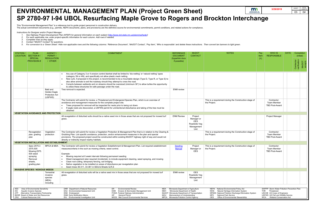This "Environmental Management Plan" is a reference tool to guide project personnel in construction delivery.

- *1. See Highway Project Development Plan (HPDP) for general information on each subject [\(http://www.dot.state.mn.us/planning/hpdp/\)](http://www.dot.state.mn.us/planning/hpdp/)*
- *2. For each applicable row, enter project-specific information for each column. Add rows if needed.*
- *3. Complete rows as they apply.*
- *4. Contact "MnDOT Contact" for questions.*
- 5. For conversion to a 'Green Sheet': Hide non-applicable rows and the following columns: 'Reference Document', 'MnDOT Contact', 'Pay Item', 'Who is responsible' and delete these instructions. Then convert tan banners to l

The actual commitment documents (e.g., permits, NEPA documents, plans, and provisions) are the definitive source for environmental commitments, permit conditions, and related actions for compliance.

| m<br><b>DEPARTMENT OF</b> | 3/29/2019 | <b>SHEET</b>   | <b>TOTAL</b><br><b>SHEETS</b> |
|---------------------------|-----------|----------------|-------------------------------|
| <b>TRANSPORTATION</b>     |           | E <sub>5</sub> | E#                            |
| Interchange               |           |                |                               |

| <b>STATION/</b><br><b>LOCATION</b> | <b>PLAN</b><br>SECTION #<br><b>SPECIAL</b>                                                                                                                                                     | AGENCY/<br>PERMIT/<br><b>REGULATION</b>                      | <b>COMMITMENT</b>                                                                                                                                                                                                                                                                                                                                                                                                                                                                                                                                                        | <b>REFERENCE</b><br><b>DOCUMENT</b><br>(hyperlink docs                                                                                                                                          | <b>MnDOT</b><br><b>CONTACT</b>                                            | <b>NOTES</b>                                                                                                                                                                                                                               | Pay<br>Item<br>(Y) | WHO IS<br><b>RESPONSIBLE</b>                                                                                                                                   | <b>DATE</b> | Completion<br>(initial)    |                  |
|------------------------------------|------------------------------------------------------------------------------------------------------------------------------------------------------------------------------------------------|--------------------------------------------------------------|--------------------------------------------------------------------------------------------------------------------------------------------------------------------------------------------------------------------------------------------------------------------------------------------------------------------------------------------------------------------------------------------------------------------------------------------------------------------------------------------------------------------------------------------------------------------------|-------------------------------------------------------------------------------------------------------------------------------------------------------------------------------------------------|---------------------------------------------------------------------------|--------------------------------------------------------------------------------------------------------------------------------------------------------------------------------------------------------------------------------------------|--------------------|----------------------------------------------------------------------------------------------------------------------------------------------------------------|-------------|----------------------------|------------------|
|                                    | <b>PROVISION#</b>                                                                                                                                                                              | / OTHER                                                      |                                                                                                                                                                                                                                                                                                                                                                                                                                                                                                                                                                          | if possible)                                                                                                                                                                                    |                                                                           |                                                                                                                                                                                                                                            |                    |                                                                                                                                                                |             | Contractor<br>verification | MnDOT<br>accords |
|                                    |                                                                                                                                                                                                |                                                              | Any use of Category 3 or 4 erosion control blanket shall be limited to 'bio-netting' or 'natural netting' types<br>(category 3N or 4N), and specifically not allow plastic mesh netting.<br>New curb, if proposed in the project, is recommended to be a mountable design (Type D, Type R, or Type S) to<br>also allow animals to exit the roadway should they attempt to cross the road.<br>Culverts between wetlands and on streams should be oversized (minimum 36") to allow turtles the opportunity<br>to utilize these structures for safe passage under the road. |                                                                                                                                                                                                 |                                                                           |                                                                                                                                                                                                                                            |                    |                                                                                                                                                                |             |                            |                  |
|                                    |                                                                                                                                                                                                | Bald and<br>Golden Eagle<br><b>Protection Act</b><br>(USFWS) | Tree removal is expected.                                                                                                                                                                                                                                                                                                                                                                                                                                                                                                                                                | <b>ENM</b> review                                                                                                                                                                               |                                                                           |                                                                                                                                                                                                                                            |                    |                                                                                                                                                                |             |                            |                  |
|                                    |                                                                                                                                                                                                |                                                              | The Contractor will submit for review, a Threatened and Endangered Species Plan, which is an overview of<br>avoidance and management measures for the complete project site.<br>Trees proposed for removal will be inspected for nests prior to being cut down.<br>If eagle nests are discovered, a USFWS permit for unintentional disturbance and taking of the tree must be<br>obtained                                                                                                                                                                                |                                                                                                                                                                                                 |                                                                           | This is a requirement during the Construction stage of<br>the Project.                                                                                                                                                                     |                    | Contractor:<br><b>Team Member</b><br><b>TBD Post-Award</b>                                                                                                     |             |                            |                  |
|                                    | <b>VEGETATION AVOIDANCE AND PROTECTION</b>                                                                                                                                                     |                                                              |                                                                                                                                                                                                                                                                                                                                                                                                                                                                                                                                                                          |                                                                                                                                                                                                 |                                                                           |                                                                                                                                                                                                                                            |                    |                                                                                                                                                                |             |                            |                  |
|                                    |                                                                                                                                                                                                |                                                              | All revegetation of disturbed soils should be a native seed mix in those areas that are not proposed for mowed turf<br>grass.                                                                                                                                                                                                                                                                                                                                                                                                                                            | <b>ENM Review</b>                                                                                                                                                                               | Project<br>Manager or<br><b>OES</b><br>Roadside Veg<br>Management<br>Unit |                                                                                                                                                                                                                                            |                    | Project Manager                                                                                                                                                |             |                            |                  |
|                                    | Revegetation<br>plan, grading<br>plan                                                                                                                                                          | Vegetation<br>protection                                     | The Contractor will submit for review a Vegetation Protection & Management Plan that is in relation to the Clearing &<br>Grubbing Plan. List specific avoidance, protection, and/or enhancement measures in the plan and special<br>provisions. The proposed project would be constructed within existing MnDOT highway right of way and would not<br>directly or indirectly impact nearby habitats.                                                                                                                                                                     |                                                                                                                                                                                                 |                                                                           | This is a requirement during the Construction stage of<br>the Project.                                                                                                                                                                     |                    | Contractor:<br><b>Team Member</b><br><b>TBD Post-Award</b>                                                                                                     |             |                            |                  |
|                                    | <b>VEGETATION INSTALLATION AND ESTABLISHMENT</b>                                                                                                                                               |                                                              |                                                                                                                                                                                                                                                                                                                                                                                                                                                                                                                                                                          |                                                                                                                                                                                                 |                                                                           |                                                                                                                                                                                                                                            |                    |                                                                                                                                                                |             |                            |                  |
|                                    | Spec 2575.3<br>2575.505<br>Mowing; 2575.<br>505 weed<br>spraying<br>Removal<br>sheets.<br>grading plan                                                                                         | MPCA & MDA                                                   | The Contractor will submit for review a Vegetation Establishment & Management Plan. List required establishment<br>measures/criteria in the such as mowing criteria, weed control.<br>Example:<br>Mowing required at 6 week intervals following permanent seeding<br>Weed management plan required (incidental), to include equipment cleaning, weed spraying, and mowing<br>Clean root cutting, temporary fencing, soil bridging<br>Native vegetation to be installed on areas of disturbance per revegetation plan<br>Seed mixes 36-311, 33-361 in SEQ & Sheets Q,R,S  | Seeding<br>Manual                                                                                                                                                                               | Project<br>Manager or<br><b>OES</b>                                       | This is a requirement during the Construction stage of<br>the Project.                                                                                                                                                                     |                    | Contractor:<br><b>Team Member</b><br><b>TBD Post-Award</b>                                                                                                     |             |                            |                  |
|                                    | <b>INVASIVE SPECIES / NOXIOUS WEEDS</b>                                                                                                                                                        |                                                              |                                                                                                                                                                                                                                                                                                                                                                                                                                                                                                                                                                          |                                                                                                                                                                                                 |                                                                           |                                                                                                                                                                                                                                            |                    |                                                                                                                                                                |             |                            |                  |
|                                    |                                                                                                                                                                                                | Terrestrial<br>invasive<br>species<br>(MDA)<br>including     | All revegetation of disturbed soils will be a native seed mix in those areas that are not proposed for mowed turf<br>grass.                                                                                                                                                                                                                                                                                                                                                                                                                                              | <b>ENM</b> review                                                                                                                                                                               | OES<br>Roadside Veg<br>Management<br>Unit                                 |                                                                                                                                                                                                                                            |                    |                                                                                                                                                                |             |                            |                  |
| AES<br>AIS<br>ATP                  | Area of Environmental Sensitivity<br><b>Aquatic Invasive Species</b><br>Alternative Transportation Partnership<br>BWSR Board of Water and Soil Resources<br><b>CRU</b> Cultural Resources Unit |                                                              | DNR Department of Natural Resources<br><b>Environmental Review</b><br>ER<br>MDA<br>EAU Environmental Assessment Unit<br>Erosion & Stormwater Management Unit<br><b>ESM</b><br>MDH<br>END Endangered<br>FHWA Federal Highway Administration<br><b>ENM Early Notification Memo</b><br><b>General Permit</b><br><b>GP</b><br>MOU<br>EIU Environmental Investigation Unit<br>MCES Met Council Environmental Services                                                                                                                                                         | Minnesota Department of Agriculture<br>Minnesota Department of Health<br>MnDOT Minnesota Department of Transportation<br>Memorandum of Understanding<br>MPCA Minnesota Pollution Control Agency |                                                                           | NEPA National Environmental Policy Act<br>Natural Heritage Information System<br>NHIS<br>NPDES National Pollution Discharge Elimination System<br><b>NPS</b><br><b>National Park Service</b><br>Office of Environmental Stewardship<br>OES | <b>THR</b>         | SWPPP Storm Water Pollution Prevention Plan<br>Threatened<br>USCOE US Corps of Engineers<br>USFWS US Fish and Wildlife Service<br>WCA Wetland Conservation Act |             |                            |                  |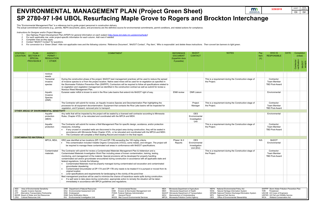# **ENVIRONMENTAL MANAGEMENT PLAN (Project Green Sheet)**

- 
- *2. For each applicable row, enter project-specific information for each column. Add rows if needed.*
- 
- 
- 

|                                                   |                                                                                                                                                                                                                                                                                                                                                                                                                                                                                                                                                 |                                             | <b>ENVIRONMENTAL MANAGEMENT PLAN (Project Green Sheet)</b>                                                                                                                                                                                                                                                                                                                                                                                                                                                                                                                                                                                                                                                                                                                                                                                              |                   |                                                                                                                                                          |                                              |                                                                                                                                                                                                      | m<br><b>DEPARTMENT OF</b><br><b>TRANSPORTATION</b> | 3/29/2019                                                                                                           |             | TOTAL<br>SHEETS<br>SHEET<br>E#<br>E <sub>6</sub>            |
|---------------------------------------------------|-------------------------------------------------------------------------------------------------------------------------------------------------------------------------------------------------------------------------------------------------------------------------------------------------------------------------------------------------------------------------------------------------------------------------------------------------------------------------------------------------------------------------------------------------|---------------------------------------------|---------------------------------------------------------------------------------------------------------------------------------------------------------------------------------------------------------------------------------------------------------------------------------------------------------------------------------------------------------------------------------------------------------------------------------------------------------------------------------------------------------------------------------------------------------------------------------------------------------------------------------------------------------------------------------------------------------------------------------------------------------------------------------------------------------------------------------------------------------|-------------------|----------------------------------------------------------------------------------------------------------------------------------------------------------|----------------------------------------------|------------------------------------------------------------------------------------------------------------------------------------------------------------------------------------------------------|----------------------------------------------------|---------------------------------------------------------------------------------------------------------------------|-------------|-------------------------------------------------------------|
|                                                   |                                                                                                                                                                                                                                                                                                                                                                                                                                                                                                                                                 |                                             | SP 2780-97 I-94 UBOL Resurfacing Maple Grove to Rogers and Brockton Interchange                                                                                                                                                                                                                                                                                                                                                                                                                                                                                                                                                                                                                                                                                                                                                                         |                   |                                                                                                                                                          |                                              |                                                                                                                                                                                                      |                                                    |                                                                                                                     |             |                                                             |
|                                                   |                                                                                                                                                                                                                                                                                                                                                                                                                                                                                                                                                 |                                             | This "Environmental Management Plan" is a reference tool to guide project personnel in construction delivery.                                                                                                                                                                                                                                                                                                                                                                                                                                                                                                                                                                                                                                                                                                                                           |                   |                                                                                                                                                          |                                              |                                                                                                                                                                                                      |                                                    |                                                                                                                     |             |                                                             |
|                                                   |                                                                                                                                                                                                                                                                                                                                                                                                                                                                                                                                                 |                                             | The actual commitment documents (e.g., permits, NEPA documents, plans, and provisions) are the definitive source for environmental commitments, permit conditions, and related actions for compliance.                                                                                                                                                                                                                                                                                                                                                                                                                                                                                                                                                                                                                                                  |                   |                                                                                                                                                          |                                              |                                                                                                                                                                                                      |                                                    |                                                                                                                     |             |                                                             |
| Instructions for Designer and/or Project Manager: | See Highway Project Development Plan (HPDP) for general information on each subject (http://www.dot.state.mn.us/planning/hpdp/)<br>For each applicable row, enter project-specific information for each column. Add rows if needed.<br>Complete rows as they apply.<br>Contact "MnDOT Contact" for questions.<br>For conversion to a 'Green Sheet': Hide non-applicable rows and the following columns: 'Reference Document', 'MnDOT Contact', 'Pay Item', 'Who is responsible' and delete these instructions. Then convert tan banners to ligh |                                             |                                                                                                                                                                                                                                                                                                                                                                                                                                                                                                                                                                                                                                                                                                                                                                                                                                                         |                   |                                                                                                                                                          |                                              |                                                                                                                                                                                                      |                                                    |                                                                                                                     |             |                                                             |
| <b>STATION/</b>                                   | <b>PLAN</b>                                                                                                                                                                                                                                                                                                                                                                                                                                                                                                                                     | AGENCY/                                     | <b>COMMITMENT</b>                                                                                                                                                                                                                                                                                                                                                                                                                                                                                                                                                                                                                                                                                                                                                                                                                                       |                   | <b>REFERENCE</b>                                                                                                                                         | <b>MnDOT</b>                                 | <b>NOTES</b>                                                                                                                                                                                         | Pay                                                | WHO IS                                                                                                              | <b>DATE</b> | Completion                                                  |
| <b>LOCATION</b>                                   | SECTION #/<br><b>SPECIAL</b><br><b>PROVISION#</b>                                                                                                                                                                                                                                                                                                                                                                                                                                                                                               | PERMIT/<br><b>REGULATION</b><br>/ OTHER     |                                                                                                                                                                                                                                                                                                                                                                                                                                                                                                                                                                                                                                                                                                                                                                                                                                                         |                   | <b>DOCUMENT</b><br>(hyperlink docs<br>if possible)                                                                                                       | <b>CONTACT</b>                               |                                                                                                                                                                                                      | Item<br>(Y)                                        | <b>RESPONSIBLE</b>                                                                                                  |             | (initial)<br>Contractor<br>verification<br>MnDOT<br>accepts |
|                                                   |                                                                                                                                                                                                                                                                                                                                                                                                                                                                                                                                                 | noxious                                     |                                                                                                                                                                                                                                                                                                                                                                                                                                                                                                                                                                                                                                                                                                                                                                                                                                                         |                   |                                                                                                                                                          |                                              |                                                                                                                                                                                                      |                                                    |                                                                                                                     |             |                                                             |
|                                                   |                                                                                                                                                                                                                                                                                                                                                                                                                                                                                                                                                 | weeds<br>Terrestrial<br>invasive<br>species | During the construction phase of the project, MnDOT best management practices will be used to reduce the spread<br>of invasive species to or from the project location. Native seed mixes will be used for re-vegetation as specified in<br>the Stormwater Pollution Prevention Plan (SWPPP). Contractors will be required to follow all specifications related to<br>re-vegetation and vegetation management as identified in the construction contract as well as submit for review a<br>Noxious Weed Management Plan.                                                                                                                                                                                                                                                                                                                                |                   |                                                                                                                                                          |                                              | This is a requirement during the Construction stage of<br>the Project.                                                                                                                               |                                                    | Contractor:<br><b>Team Member</b><br><b>TBD Post-Award</b>                                                          |             |                                                             |
|                                                   | Aquatic<br>Eurasian water milfoil is known to exist in the Rice Lake basins that extend into MnDOT right of way.<br>Invasive<br>Species<br>(DNR)                                                                                                                                                                                                                                                                                                                                                                                                |                                             |                                                                                                                                                                                                                                                                                                                                                                                                                                                                                                                                                                                                                                                                                                                                                                                                                                                         | <b>ENM</b> review | <b>DNR Liaison</b>                                                                                                                                       |                                              |                                                                                                                                                                                                      | Environmental                                      |                                                                                                                     |             |                                                             |
|                                                   |                                                                                                                                                                                                                                                                                                                                                                                                                                                                                                                                                 |                                             | The Contractor will submit for review, an Aquatic Invasive Species and Decontamination Plan highlighting the<br>processes for all equipment decontamination. Equipment that contacts the Rice Lake basins will be inspected for<br>vegetation, and if present, removed prior to transport.                                                                                                                                                                                                                                                                                                                                                                                                                                                                                                                                                              |                   |                                                                                                                                                          | Project<br>Manager                           | This is a requirement during the Construction stage of<br>the Project.                                                                                                                               |                                                    | Contractor:<br>Team Member<br><b>TBD Post-Award</b>                                                                 |             |                                                             |
|                                                   | OTHER AREAS OF ENVIRONMENTAL SENSITIVITY                                                                                                                                                                                                                                                                                                                                                                                                                                                                                                        |                                             | Any wells that will be impacted by the project will be sealed by a licensed well contractor according to Minnesota                                                                                                                                                                                                                                                                                                                                                                                                                                                                                                                                                                                                                                                                                                                                      |                   |                                                                                                                                                          | <b>OES</b>                                   |                                                                                                                                                                                                      |                                                    |                                                                                                                     |             |                                                             |
|                                                   |                                                                                                                                                                                                                                                                                                                                                                                                                                                                                                                                                 | Aquafer<br>protection<br>(MDH)              | Rules. Chapter 4725, or be relocated and coordinated with the MPCA and MDH.                                                                                                                                                                                                                                                                                                                                                                                                                                                                                                                                                                                                                                                                                                                                                                             |                   |                                                                                                                                                          | Environmental<br>Investigation<br>Unit       |                                                                                                                                                                                                      |                                                    | Environmental                                                                                                       |             |                                                             |
|                                                   |                                                                                                                                                                                                                                                                                                                                                                                                                                                                                                                                                 | Aquafer<br>protection                       | The Contractor will submit for review a Well Management Plan for specific design, avoidance, and/or protection<br>measures, including:<br>If any unused or unsealed wells are discovered in the project area during construction, they will be sealed in<br>accordance with Minnesota Rules Chapter 4725, or be relocated and coordinated with the MPCA and MDH.<br>The Contractor will complete a Well Sealing Record and include it in the final report.                                                                                                                                                                                                                                                                                                                                                                                              |                   |                                                                                                                                                          |                                              | This is a requirement during the Construction stage of<br>the Project.                                                                                                                               |                                                    | Contractor:<br><b>Team Member</b><br><b>TBD Post-Award</b>                                                          |             |                                                             |
|                                                   | <b>CONTAMINATED MATERIALS</b>                                                                                                                                                                                                                                                                                                                                                                                                                                                                                                                   | MPCA, MDA,                                  | DRO was identified at two locations (DP-17A and DP-17B) exceeding the 100 mg/kg criteria.                                                                                                                                                                                                                                                                                                                                                                                                                                                                                                                                                                                                                                                                                                                                                               |                   | Phase   & II                                                                                                                                             | <b>OES</b>                                   |                                                                                                                                                                                                      | N/A                                                | <b>MnDOT</b>                                                                                                        |             |                                                             |
|                                                   |                                                                                                                                                                                                                                                                                                                                                                                                                                                                                                                                                 |                                             | This contamination included Volatile Organic Compounds (VOCs), some metals, and nitrogen. The project will<br>be required to manage these contaminated soil areas in conformance with MnDOT specifications.                                                                                                                                                                                                                                                                                                                                                                                                                                                                                                                                                                                                                                             |                   | Reports                                                                                                                                                  | Environmental<br>Investigation<br>Unit (EIU) |                                                                                                                                                                                                      |                                                    | Environmental                                                                                                       |             |                                                             |
|                                                   |                                                                                                                                                                                                                                                                                                                                                                                                                                                                                                                                                 | Contaminated<br>materials                   | The Contractor will submit for review a Contaminated Materials Management Plan & Addendum and a<br>Contaminated Materials Investigation Work Plan including areas of known contamination, training, testing,<br>monitoring, and management of the material. Special provisions will be developed for properly handling<br>contaminated soil and/or groundwater encountered during construction in accordance with all applicable state and<br>federal regulations. Include the following:<br>Contaminated Materials must be properly managed during contaminated soil excavation and contaminated<br>groundwater dewatering<br>Contaminated Groundwater at DP-17A and DP-17B only needs to be treated if it is pumped or moved from its<br>original location<br>Liner specifications and requirements for landscaping in the vicinity of the pond liner |                   |                                                                                                                                                          |                                              | This is a requirement during the Construction stage of<br>the Project.                                                                                                                               |                                                    | Contractor:<br><b>Team Member</b><br><b>TBD Post-Award</b>                                                          |             |                                                             |
|                                                   |                                                                                                                                                                                                                                                                                                                                                                                                                                                                                                                                                 |                                             | Best management practices will be used to minimize the chance of hazardous waste spills during construction.<br>If a spill were to take place during construction, appropriate action to remedy the situation will be taken<br>immediately in accordance with MPCA guidelines and regulations.                                                                                                                                                                                                                                                                                                                                                                                                                                                                                                                                                          |                   |                                                                                                                                                          |                                              |                                                                                                                                                                                                      |                                                    |                                                                                                                     |             |                                                             |
| AES                                               | Area of Environmental Sensitivity                                                                                                                                                                                                                                                                                                                                                                                                                                                                                                               |                                             | DNR Department of Natural Resources<br>ER<br><b>Environmental Review</b>                                                                                                                                                                                                                                                                                                                                                                                                                                                                                                                                                                                                                                                                                                                                                                                | MDA               | Minnesota Department of Agriculture                                                                                                                      |                                              | NEPA National Environmental Policy Act                                                                                                                                                               |                                                    | SWPPP Storm Water Pollution Prevention Plan                                                                         |             |                                                             |
| AIS<br>ATP                                        | <b>Aquatic Invasive Species</b><br>Alternative Transportation Partnership<br>BWSR Board of Water and Soil Resources<br><b>CRU</b> Cultural Resources Unit                                                                                                                                                                                                                                                                                                                                                                                       |                                             | Erosion & Stormwater Management Unit<br>EAU Environmental Assessment Unit<br><b>ESM</b><br>END Endangered<br>FHWA Federal Highway Administration<br><b>General Permit</b><br><b>ENM Early Notification Memo</b><br>GP<br>MCES Met Council Environmental Services<br>EIU Environmental Investigation Unit                                                                                                                                                                                                                                                                                                                                                                                                                                                                                                                                                | MDH<br>MOU        | Minnesota Department of Health<br>MnDOT Minnesota Department of Transportation<br>Memorandum of Understanding<br>MPCA Minnesota Pollution Control Agency |                                              | NHIS Natural Heritage Information System<br>NPDES National Pollution Discharge Elimination System<br><b>National Park Service</b><br><b>NPS</b><br><b>OES</b><br>Office of Environmental Stewardship |                                                    | THR Threatened<br>USCOE US Corps of Engineers<br>USFWS US Fish and Wildlife Service<br>WCA Wetland Conservation Act |             |                                                             |

| tal Policy Act             |     | SWPPP Storm Water Pollution Prevention Plan |
|----------------------------|-----|---------------------------------------------|
| rmation System             | THR | Threatened                                  |
| scharge Elimination System |     | USCOE US Corps of Engineers                 |
|                            |     | USFWS US Fish and Wildlife Service          |
| าtal Stewardship           | WCA | <b>Wetland Conservation Act</b>             |
|                            |     |                                             |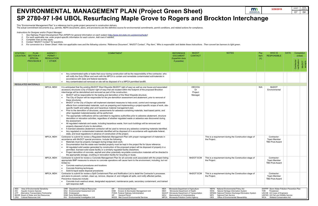# **ENVIRONMENTAL MANAGEMENT PLAN (Project Green Sheet)**

- 
- *2. For each applicable row, enter project-specific information for each column. Add rows if needed.*
- 
- 
- 

|                       |                                                                                                                                                                                                |                                                                                             |                                                                                                                                                                                                                                                                                                                                                                                                                                                                                                                                                                                                                                                                                                                                                                                                                                                                                                                                                                                                                                                                                                                                                                                                                                                                                                                                                                                                                                                                                                                                                                                                                                                                                                                                                           |                                                                                                                                                                                                 |                                            | m                                                                                                                                                                                                                                                 |                    | 3/29/2019                                                                                                                                                                    |             | TOTAL<br>SHEETS<br><b>SHEET</b>                                |
|-----------------------|------------------------------------------------------------------------------------------------------------------------------------------------------------------------------------------------|---------------------------------------------------------------------------------------------|-----------------------------------------------------------------------------------------------------------------------------------------------------------------------------------------------------------------------------------------------------------------------------------------------------------------------------------------------------------------------------------------------------------------------------------------------------------------------------------------------------------------------------------------------------------------------------------------------------------------------------------------------------------------------------------------------------------------------------------------------------------------------------------------------------------------------------------------------------------------------------------------------------------------------------------------------------------------------------------------------------------------------------------------------------------------------------------------------------------------------------------------------------------------------------------------------------------------------------------------------------------------------------------------------------------------------------------------------------------------------------------------------------------------------------------------------------------------------------------------------------------------------------------------------------------------------------------------------------------------------------------------------------------------------------------------------------------------------------------------------------------|-------------------------------------------------------------------------------------------------------------------------------------------------------------------------------------------------|--------------------------------------------|---------------------------------------------------------------------------------------------------------------------------------------------------------------------------------------------------------------------------------------------------|--------------------|------------------------------------------------------------------------------------------------------------------------------------------------------------------------------|-------------|----------------------------------------------------------------|
|                       |                                                                                                                                                                                                |                                                                                             | <b>ENVIRONMENTAL MANAGEMENT PLAN (Project Green Sheet)</b>                                                                                                                                                                                                                                                                                                                                                                                                                                                                                                                                                                                                                                                                                                                                                                                                                                                                                                                                                                                                                                                                                                                                                                                                                                                                                                                                                                                                                                                                                                                                                                                                                                                                                                |                                                                                                                                                                                                 |                                            | <b>DEPARTMENT OF</b><br><b>FRANSPORTATION</b>                                                                                                                                                                                                     |                    |                                                                                                                                                                              |             | E#<br>E7                                                       |
| 5.                    | Complete rows as they apply.                                                                                                                                                                   | Instructions for Designer and/or Project Manager:<br>Contact "MnDOT Contact" for questions. | SP 2780-97 I-94 UBOL Resurfacing Maple Grove to Rogers and Brockton Interchange<br>This "Environmental Management Plan" is a reference tool to guide project personnel in construction delivery<br>The actual commitment documents (e.g., permits, NEPA documents, plans, and provisions) are the definitive source for environmental commitments, permit conditions, and related actions for compliance.<br>See Highway Project Development Plan (HPDP) for general information on each subject (http://www.dot.state.mn.us/planning/hpdp/<br>For each applicable row, enter project-specific information for each column. Add rows if needed.<br>For conversion to a 'Green Sheet': Hide non-applicable rows and the following columns: 'Reference Document', 'MnDOT Contact', 'Pay Item', 'Who is responsible' and delete these instructions. Then convert tan banners to ligh                                                                                                                                                                                                                                                                                                                                                                                                                                                                                                                                                                                                                                                                                                                                                                                                                                                                         |                                                                                                                                                                                                 |                                            |                                                                                                                                                                                                                                                   |                    |                                                                                                                                                                              |             |                                                                |
| STATION /<br>LOCATION | <b>PLAN</b><br>$\vert$ SECTION #<br><b>SPECIAL</b><br><b>PROVISION #</b>                                                                                                                       | AGENCY/<br>PERMIT/<br><b>REGULATION</b><br>/ OTHER                                          | <b>COMMITMENT</b>                                                                                                                                                                                                                                                                                                                                                                                                                                                                                                                                                                                                                                                                                                                                                                                                                                                                                                                                                                                                                                                                                                                                                                                                                                                                                                                                                                                                                                                                                                                                                                                                                                                                                                                                         | <b>REFERENCE</b><br><b>DOCUMENT</b><br>(hyperlink docs<br>if possible)                                                                                                                          | <b>MnDOT</b><br><b>CONTACT</b>             | <b>NOTES</b>                                                                                                                                                                                                                                      | Pay<br>Item<br>(Y) | WHO IS<br><b>RESPONSIBLE</b>                                                                                                                                                 | <b>DATE</b> | Completion<br>(initial)<br>Contractor<br>verification<br>MnDOT |
|                       |                                                                                                                                                                                                |                                                                                             | Any contaminated spills or leaks that occur during construction will be the responsibility of the contractor, who<br>will notify the Duty Officer and work with the MPCA to contain and remediate contaminated soil/materials in<br>accordance with state and federal standards.<br>Any contaminated soil removed on site will be disposed of in a MPCA permitted landfill.                                                                                                                                                                                                                                                                                                                                                                                                                                                                                                                                                                                                                                                                                                                                                                                                                                                                                                                                                                                                                                                                                                                                                                                                                                                                                                                                                                               |                                                                                                                                                                                                 |                                            |                                                                                                                                                                                                                                                   |                    |                                                                                                                                                                              |             |                                                                |
|                       | <b>REGULATED MATERIALS</b>                                                                                                                                                                     | MPCA, MDH                                                                                   | It is anticipated that the existing MnDOT West Wayside (MnDOT right of way) as well as one house and associated<br>accessory structures (City of Dayton right of way) that are located within the footprint of the proposed Brockton<br>interchange will be demolished and removed as part of the construction.<br>MnDOT will be responsible for the testing and demolition of the West Wayside structure.<br>The City of Dayton will be responsible for the pre-demolition assessment and abatement, prior to removal of<br>these structures.<br>MnDOT or the City of Dayton will implement standard measures to help avoid, control and manage potential<br>effects from contaminated materials, such as preparing and implementing a project-specific scope of work, site-<br>specific health and safety plan and hazardous material management plan.<br>Prior to the demolition of structures, assessments for asbestos-containing materials, lead-based paints, and<br>other regulated materials/wastes will be performed.<br>The appropriate notifications will be submitted to regulatory authorities prior to asbestos abatement, structure<br>demolition or relocation activities, regardless of whether regulated waste or asbestos was discovered during<br>the assessment.<br>All regulated materials and waste, including hazardous waste, from such buildings will be removed and<br>properly disposed of prior to demolition.<br>A licensed asbestos abatement contractor will be used to remove any asbestos containing materials identified.<br>Any regulated or contaminated materials identified will be disposed of in accordance with applicable federal,<br>state, and local regulations in advance of construction of the project. |                                                                                                                                                                                                 | <b>OES EIU</b><br>0r<br>Project<br>Manager |                                                                                                                                                                                                                                                   | N/A                | <b>MnDOT</b><br>Environmental                                                                                                                                                |             |                                                                |
|                       |                                                                                                                                                                                                | MPCA, MDH                                                                                   | Contractor to submit for review a Regulated Materials Management Plan with proper management of materials in<br>accordance with MnDOT special provisions. Include the following:<br>Materials must be properly managed during bridge deck work.<br>Documentation that the waste was handled properly must be kept in the project file for future reference.<br>All regulated solid wastes generated by construction of the proposed project will be disposed of properly in a<br>permitted, licensed solid waste facility or a similarly regulated facility elsewhere.<br>Project demolition of concrete, asphalt and other potentially recyclable construction materials will be directed to<br>the appropriate storage, crushing or renovation facility for recycling or reuse.                                                                                                                                                                                                                                                                                                                                                                                                                                                                                                                                                                                                                                                                                                                                                                                                                                                                                                                                                                         |                                                                                                                                                                                                 |                                            | This is a requirement during the Construction stage of<br>the Project.                                                                                                                                                                            |                    | Contractor:<br><b>Team Member</b><br><b>TBD Post-Award</b>                                                                                                                   |             |                                                                |
|                       |                                                                                                                                                                                                | MPCA, MDH                                                                                   | Contractor to submit for review a Concrete Management Plan for all concrete work associated with the project listing<br>appropriate BMP measures to ensure no concrete operations will cause harm to the environment, including, but not<br>limited to:<br>Concrete washout procedures and locations<br>Concrete finishing techniques<br>Solid & liquid waste disposal procedures                                                                                                                                                                                                                                                                                                                                                                                                                                                                                                                                                                                                                                                                                                                                                                                                                                                                                                                                                                                                                                                                                                                                                                                                                                                                                                                                                                         |                                                                                                                                                                                                 | MnDOT ECM                                  | This is a requirement during the Construction stage of<br>the Project.                                                                                                                                                                            |                    | Contractor:<br><b>Team Member</b><br><b>TBD Post-Award</b>                                                                                                                   |             |                                                                |
|                       |                                                                                                                                                                                                | MPCA, MDH                                                                                   | Contractor to submit for review a Spill Containment Plan and Notification List to detail the Contractor's processes<br>and plans to prevent, contain, clean up, remove, dispose of, and mitigate all spills, and notify affected parties.<br>Preventive measures include:<br>Concrete truck washout areas, designated equipment, maintenance pads, secondary containment, and trained<br>spill response staff.                                                                                                                                                                                                                                                                                                                                                                                                                                                                                                                                                                                                                                                                                                                                                                                                                                                                                                                                                                                                                                                                                                                                                                                                                                                                                                                                            |                                                                                                                                                                                                 | MnDOT ECM                                  | This is a requirement during the Construction stage of<br>the Project.                                                                                                                                                                            |                    | Contractor:<br>Team Member<br><b>TBD Post-Award</b>                                                                                                                          |             |                                                                |
| AES<br>AIS<br>ATP     | Area of Environmental Sensitivity<br><b>Aquatic Invasive Species</b><br>Alternative Transportation Partnership<br>BWSR Board of Water and Soil Resources<br><b>CRU</b> Cultural Resources Unit |                                                                                             | DNR Department of Natural Resources<br><b>Environmental Review</b><br>ER<br>MDA<br>Erosion & Stormwater Management Unit<br>EAU Environmental Assessment Unit<br><b>ESM</b><br>MDH<br>END Endangered<br>FHWA Federal Highway Administration<br><b>General Permit</b><br><b>ENM Early Notification Memo</b><br><b>GP</b><br>MOU<br>EIU Environmental Investigation Unit<br>MCES Met Council Environmental Services                                                                                                                                                                                                                                                                                                                                                                                                                                                                                                                                                                                                                                                                                                                                                                                                                                                                                                                                                                                                                                                                                                                                                                                                                                                                                                                                          | Minnesota Department of Agriculture<br>Minnesota Department of Health<br>MnDOT Minnesota Department of Transportation<br>Memorandum of Understanding<br>MPCA Minnesota Pollution Control Agency |                                            | NEPA National Environmental Policy Act<br>Natural Heritage Information System<br>NHIS<br>NPDES National Pollution Discharge Elimination System<br><b>NPS</b><br><b>National Park Service</b><br>Office of Environmental Stewardship<br><b>OES</b> |                    | SWPPP Storm Water Pollution Prevention Plan<br><b>THR</b><br>Threatened<br>USCOE US Corps of Engineers<br>USFWS US Fish and Wildlife Service<br>WCA Wetland Conservation Act |             |                                                                |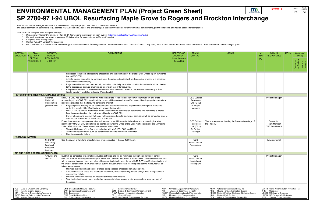This "Environmental Management Plan" is a reference tool to guide project personnel in construction delivery.

- *1. See Highway Project Development Plan (HPDP) for general information on each subject [\(http://www.dot.state.mn.us/planning/hpdp/\)](http://www.dot.state.mn.us/planning/hpdp/)*
- *2. For each applicable row, enter project-specific information for each column. Add rows if needed.*
- *3. Complete rows as they apply.*
- *4. Contact "MnDOT Contact" for questions.*
- 5. For conversion to a 'Green Sheet': Hide non-applicable rows and the following columns: 'Reference Document', 'MnDOT Contact', 'Pay Item', 'Who is responsible' and delete these instructions. Then convert tan banners to l

The actual commitment documents (e.g., permits, NEPA documents, plans, and provisions) are the definitive source for environmental commitments, permit conditions, and related actions for compliance.

| m                                             | 3/29/2019 | <b>SHEET</b> | <b>TOTAL</b><br><b>SHEETS</b> |
|-----------------------------------------------|-----------|--------------|-------------------------------|
| <b>DEPARTMENT OF</b><br><b>TRANSPORTATION</b> |           | E8           | E#                            |
| <b>Interchange</b>                            |           |              |                               |
|                                               |           |              |                               |

| STATION /<br>LOCATION   | <b>PLAN</b><br>SECTION #                                                                                                                                                                           | AGENCY/<br>PERMIT/                                             | <b>COMMITMENT</b>                                                                                                                                                                                                                                                                                                                                                                                                                                                                                                                                                                                                                                                                                                                                                                                                                                                                                                                          | <b>REFERENCE</b><br><b>DOCUMENT</b>                                                                                                                                                             | <b>MnDOT</b><br><b>CONTACT</b>                                          | <b>NOTES</b>                                                                                                                                                                                                              | Pay<br>Item | WHO IS<br><b>RESPONSIBLE</b>                                                                                                                                       | <b>DATE</b> | Completion<br>(initial)    |       |
|-------------------------|----------------------------------------------------------------------------------------------------------------------------------------------------------------------------------------------------|----------------------------------------------------------------|--------------------------------------------------------------------------------------------------------------------------------------------------------------------------------------------------------------------------------------------------------------------------------------------------------------------------------------------------------------------------------------------------------------------------------------------------------------------------------------------------------------------------------------------------------------------------------------------------------------------------------------------------------------------------------------------------------------------------------------------------------------------------------------------------------------------------------------------------------------------------------------------------------------------------------------------|-------------------------------------------------------------------------------------------------------------------------------------------------------------------------------------------------|-------------------------------------------------------------------------|---------------------------------------------------------------------------------------------------------------------------------------------------------------------------------------------------------------------------|-------------|--------------------------------------------------------------------------------------------------------------------------------------------------------------------|-------------|----------------------------|-------|
|                         | <b>SPECIAL</b><br><b>PROVISION#</b>                                                                                                                                                                | <b>REGULATION</b><br>/ OTHER                                   |                                                                                                                                                                                                                                                                                                                                                                                                                                                                                                                                                                                                                                                                                                                                                                                                                                                                                                                                            | (hyperlink docs<br>if possible)                                                                                                                                                                 |                                                                         |                                                                                                                                                                                                                           | (Y)         |                                                                                                                                                                    |             |                            |       |
|                         |                                                                                                                                                                                                    |                                                                |                                                                                                                                                                                                                                                                                                                                                                                                                                                                                                                                                                                                                                                                                                                                                                                                                                                                                                                                            |                                                                                                                                                                                                 |                                                                         |                                                                                                                                                                                                                           |             |                                                                                                                                                                    |             | Contractor<br>verification | MnDOT |
|                         |                                                                                                                                                                                                    |                                                                |                                                                                                                                                                                                                                                                                                                                                                                                                                                                                                                                                                                                                                                                                                                                                                                                                                                                                                                                            |                                                                                                                                                                                                 |                                                                         |                                                                                                                                                                                                                           |             |                                                                                                                                                                    |             |                            |       |
|                         |                                                                                                                                                                                                    |                                                                | Notification includes Self Reporting procedures and the submittal of the State's Duty Officer report number to<br>the MnDOT ECM.                                                                                                                                                                                                                                                                                                                                                                                                                                                                                                                                                                                                                                                                                                                                                                                                           |                                                                                                                                                                                                 |                                                                         |                                                                                                                                                                                                                           |             |                                                                                                                                                                    |             |                            |       |
|                         |                                                                                                                                                                                                    |                                                                | All solid wastes generated by construction of the proposed project will be disposed of properly in a permitted,<br>licensed solid waste facility.<br>Project demolition of concrete, asphalt, and other potentially recyclable construction materials will be directed<br>to the appropriate storage, crushing, or renovation facility for recycling.<br>Any green-treated wood will be documented and disposed of in a MPCA permitted Mixed Municipal Solid<br>Waste (sanitary) landfill or Industrial Waste Landfill                                                                                                                                                                                                                                                                                                                                                                                                                     |                                                                                                                                                                                                 |                                                                         |                                                                                                                                                                                                                           |             |                                                                                                                                                                    |             |                            |       |
|                         |                                                                                                                                                                                                    | <b>HISTORIC PROPERTIES / CULTURAL RESOURCES</b>                |                                                                                                                                                                                                                                                                                                                                                                                                                                                                                                                                                                                                                                                                                                                                                                                                                                                                                                                                            |                                                                                                                                                                                                 |                                                                         |                                                                                                                                                                                                                           |             |                                                                                                                                                                    |             |                            |       |
|                         |                                                                                                                                                                                                    | National<br>Historical<br>Preservation<br>(Section 106)        | MnDOT's CRU has coordinated with the Minnesota State Historic Preservation Office (MnSHPO) and State<br>Archeaologist. MnDOT CRU found that the project will have no adverse effect to any historic properties or cultural<br>resources provided that the following conditions are met:<br>Project specific wording will be developed and incorporated into the project construction plans to provide<br>protection to select identified burial and archaeological sites.<br>MnDOT CRU's contact information will be included in the construction documents and if anything is altered<br>from the current review, the contractor will notify MnDOT CRU.<br>Survey of one pond location that could not be reviewed due to landowner permission will be completed prior to<br>construction if disturbance to this area is proposed.                                                                                                         |                                                                                                                                                                                                 | <b>OES Cultural</b><br>Resources<br>Unit (CRU)<br>Or Project<br>Manager |                                                                                                                                                                                                                           |             | <b>Project Manager</b>                                                                                                                                             |             |                            |       |
|                         |                                                                                                                                                                                                    |                                                                | Protective measures during construction will be used to avoid inadvertent disturbance to archaeological sites<br>identified by MnDOT CRU and should be coordinated with the Office of the State Archeologist and the Minnesota<br>Indian Affairs Council. These protective measures will include:<br>The establishment of a buffer in consultation with MnSHPO, OSA, and MIAC;<br>The use of visual barriers such as construction fence to demarcate the buffer;<br>Notations on project plans.                                                                                                                                                                                                                                                                                                                                                                                                                                            |                                                                                                                                                                                                 | <b>OES Cultural</b><br>Resources<br>Unit (CRU)<br>Or Project<br>Manager | This is a requirement during the Construction stage of<br>the Project.                                                                                                                                                    |             | Contractor:<br><b>Team Member</b><br><b>TBD Post-Award</b>                                                                                                         |             |                            |       |
| <b>FARMLAND IMPACTS</b> |                                                                                                                                                                                                    |                                                                |                                                                                                                                                                                                                                                                                                                                                                                                                                                                                                                                                                                                                                                                                                                                                                                                                                                                                                                                            |                                                                                                                                                                                                 |                                                                         |                                                                                                                                                                                                                           |             |                                                                                                                                                                    |             |                            |       |
|                         |                                                                                                                                                                                                    | NRCS/MN<br>Dept of Ag/<br>Farmland<br>Protection<br>Policy Act | See the review of farmland impacts by soil type conducted in the AD-1006 Form.                                                                                                                                                                                                                                                                                                                                                                                                                                                                                                                                                                                                                                                                                                                                                                                                                                                             |                                                                                                                                                                                                 | <b>OES</b><br>Environmental<br>Assessment                               |                                                                                                                                                                                                                           |             | Environmental                                                                                                                                                      |             |                            |       |
|                         | AIR AND NOISE CONSTRUCTION IMPACTS                                                                                                                                                                 |                                                                |                                                                                                                                                                                                                                                                                                                                                                                                                                                                                                                                                                                                                                                                                                                                                                                                                                                                                                                                            |                                                                                                                                                                                                 |                                                                         |                                                                                                                                                                                                                           |             |                                                                                                                                                                    |             |                            |       |
|                         |                                                                                                                                                                                                    | Air (Dust and<br>Odors)                                        | Dust will be generated by normal construction activities and will be minimized through standard dust control<br>methods such as watering and limiting the extent and duration of exposed soil conditions. Construction contractors<br>will be required to control dust and other airborne particulates in accordance with MnDOT specifications in place at<br>the time of construction. The Contractor will submit a Dust Control Plan, following dust control measures will be<br>taken, as necessary:<br>Minimize the duration and extent of areas being exposed or regraded at any one time.<br>Spray construction areas and haul roads with water, especially during periods of high wind or high levels of<br>construction activity.<br>Minimize the use of vehicles on unpaved surfaces when feasible.<br>Tarp trucks hauling soil, sand, and other loose materials or require trucks to maintain at least two feet of<br>freeboard. |                                                                                                                                                                                                 | <b>OES</b><br>Environmental<br>Modeling &<br><b>Testing Unit</b>        |                                                                                                                                                                                                                           |             | <b>Project Manager</b>                                                                                                                                             |             |                            |       |
|                         |                                                                                                                                                                                                    |                                                                |                                                                                                                                                                                                                                                                                                                                                                                                                                                                                                                                                                                                                                                                                                                                                                                                                                                                                                                                            |                                                                                                                                                                                                 |                                                                         |                                                                                                                                                                                                                           |             |                                                                                                                                                                    |             |                            |       |
| AES<br>AIS              | Area of Environmental Sensitivity<br><b>Aquatic Invasive Species</b><br>ATP Alternative Transportation Partnership<br>BWSR Board of Water and Soil Resources<br><b>CRU</b> Cultural Resources Unit |                                                                | DNR Department of Natural Resources<br><b>Environmental Review</b><br>MDA<br>ER<br><b>EAU</b> Environmental Assessment Unit<br>Erosion & Stormwater Management Unit<br>MDH<br><b>ESM</b><br>END Endangered<br>FHWA Federal Highway Administration<br><b>ENM Early Notification Memo</b><br><b>General Permit</b><br>GP<br>MOU<br>EIU Environmental Investigation Unit<br>MCES Met Council Environmental Services                                                                                                                                                                                                                                                                                                                                                                                                                                                                                                                           | Minnesota Department of Agriculture<br>Minnesota Department of Health<br>MnDOT Minnesota Department of Transportation<br>Memorandum of Understanding<br>MPCA Minnesota Pollution Control Agency |                                                                         | NEPA National Environmental Policy Act<br>Natural Heritage Information System<br>NHIS<br>NPDES National Pollution Discharge Elimination System<br>National Park Service<br>NPS<br>OES Office of Environmental Stewardship |             | SWPPP Storm Water Pollution Prevention Plan<br>THR Threatened<br>USCOE US Corps of Engineers<br>USFWS US Fish and Wildlife Service<br>WCA Wetland Conservation Act |             |                            |       |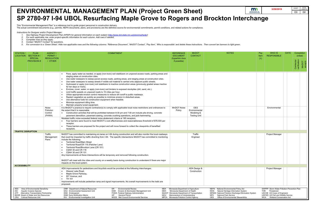This "Environmental Management Plan" is a reference tool to guide project personnel in construction delivery.

- *1. See Highway Project Development Plan (HPDP) for general information on each subject [\(http://www.dot.state.mn.us/planning/hpdp/\)](http://www.dot.state.mn.us/planning/hpdp/)*
- *2. For each applicable row, enter project-specific information for each column. Add rows if needed.*
- *3. Complete rows as they apply.*
- *4. Contact "MnDOT Contact" for questions.*
- 5. For conversion to a 'Green Sheet': Hide non-applicable rows and the following columns: 'Reference Document', 'MnDOT Contact', 'Pay Item', 'Who is responsible' and delete these instructions. Then convert tan banners to l

The actual commitment documents (e.g., permits, NEPA documents, plans, and provisions) are the definitive source for environmental commitments, permit conditions, and related actions for compliance.

|             | m<br><b>DEPARTMENT OF</b><br><b>TRANSPORTATION</b> | 3/29/2019 | <b>SHEET</b><br>E <sub>9</sub> | <b>TOTAL</b><br><b>SHEETS</b><br>E# |  |  |  |
|-------------|----------------------------------------------------|-----------|--------------------------------|-------------------------------------|--|--|--|
| Interchange |                                                    |           |                                |                                     |  |  |  |
|             |                                                    |           |                                |                                     |  |  |  |

| STATION /                 | <b>PLAN</b>                                                                                                                                                                             | AGENCY /                                | <b>COMMITMENT</b>                                                                                                                                                                                                                                                                                                                                                                                                                                                                                                                                                                                                                                                                                                                                                                                                                                                                                                                                                                                                                    | <b>REFERENCE</b>                                                                                                                                                                                | <b>MnDOT</b>                                                     | <b>NOTES</b>                                                                                                                                                                                                                        | WHO IS<br>Pay                                                                                                                                                                       | <b>DATE</b> | Completion                 |
|---------------------------|-----------------------------------------------------------------------------------------------------------------------------------------------------------------------------------------|-----------------------------------------|--------------------------------------------------------------------------------------------------------------------------------------------------------------------------------------------------------------------------------------------------------------------------------------------------------------------------------------------------------------------------------------------------------------------------------------------------------------------------------------------------------------------------------------------------------------------------------------------------------------------------------------------------------------------------------------------------------------------------------------------------------------------------------------------------------------------------------------------------------------------------------------------------------------------------------------------------------------------------------------------------------------------------------------|-------------------------------------------------------------------------------------------------------------------------------------------------------------------------------------------------|------------------------------------------------------------------|-------------------------------------------------------------------------------------------------------------------------------------------------------------------------------------------------------------------------------------|-------------------------------------------------------------------------------------------------------------------------------------------------------------------------------------|-------------|----------------------------|
|                           | LOCATION SECTION #<br><b>SPECIAL</b>                                                                                                                                                    | PERMIT/<br><b>REGULATION</b>            |                                                                                                                                                                                                                                                                                                                                                                                                                                                                                                                                                                                                                                                                                                                                                                                                                                                                                                                                                                                                                                      | <b>DOCUMENT</b><br>(hyperlink docs                                                                                                                                                              | <b>CONTACT</b>                                                   |                                                                                                                                                                                                                                     | <b>RESPONSIBLE</b><br>Item<br>(Y)                                                                                                                                                   |             | (initial)                  |
|                           | <b>PROVISION#</b>                                                                                                                                                                       | / OTHER                                 |                                                                                                                                                                                                                                                                                                                                                                                                                                                                                                                                                                                                                                                                                                                                                                                                                                                                                                                                                                                                                                      | if possible)                                                                                                                                                                                    |                                                                  |                                                                                                                                                                                                                                     |                                                                                                                                                                                     |             | Contractor<br>verification |
|                           |                                                                                                                                                                                         |                                         | Pave, apply water as needed, or apply (non-toxic) soil stabilizers on unpaved access roads, parking areas and<br>$\bullet$<br>staging areas at construction sites.<br>Use water sweepers to sweep paved access roads, parking areas, and staging areas at construction sites.<br>Use water sweepers to sweep streets if visible soil material is carried onto adjacent public streets.<br>Hydroseed or apply (non-toxic) soil stabilizers to inactive construction areas (previously graded areas inactive<br>for ten days or more).<br>Enclose, cover, water, or apply (non-toxic) soil binders to exposed stockpiles (dirt, sand, etc.).<br>Limit traffic speeds on unpaved roads to 15 miles per hour.<br>Utilize appropriate erosion control measures to reduce silt runoff to public roadways.<br>Replant vegetation as quickly as possible to minimize erosion in disturbed areas.<br>Use alternative fuels for construction equipment when feasible.<br>Minimize equipment idling time.<br>Maintain properly tuned equipment. |                                                                                                                                                                                                 |                                                                  |                                                                                                                                                                                                                                     |                                                                                                                                                                                     |             |                            |
|                           |                                                                                                                                                                                         | Noise<br>Pollution<br>Control<br>(FHWA) | It is MnDOT's practice to require contractor(s) to comply with applicable local noise restrictions and ordinances to<br>the extent that it is reasonable.<br>Construction activities that will be prohibited between 8:30 pm and 7:00 am include pile driving, concrete<br>pavement demolition, pavement sawing, concrete crushing operations, and jack-hammering.                                                                                                                                                                                                                                                                                                                                                                                                                                                                                                                                                                                                                                                                   | <b>MnDOT Noise</b><br>Policy                                                                                                                                                                    | <b>OES</b><br>Environmental<br>Modeling &<br><b>Testing Unit</b> |                                                                                                                                                                                                                                     | Environmental                                                                                                                                                                       |             |                            |
|                           |                                                                                                                                                                                         |                                         | Modeled traffic noise exceeded federal noise abatement criteria at 185 receptors.<br>Four barriers were found to meet MnDOT's cost effectiveness and reasonableness threshold of \$78,500 per<br>receptor.<br>These barriers are proposed for the project and will move forward to collect the viewpoints of benefited<br>receptors.                                                                                                                                                                                                                                                                                                                                                                                                                                                                                                                                                                                                                                                                                                 |                                                                                                                                                                                                 |                                                                  |                                                                                                                                                                                                                                     |                                                                                                                                                                                     |             |                            |
| <b>TRAFFIC DISRUPTION</b> |                                                                                                                                                                                         |                                         |                                                                                                                                                                                                                                                                                                                                                                                                                                                                                                                                                                                                                                                                                                                                                                                                                                                                                                                                                                                                                                      |                                                                                                                                                                                                 |                                                                  |                                                                                                                                                                                                                                     |                                                                                                                                                                                     |             |                            |
|                           |                                                                                                                                                                                         | Traffic<br>Management<br>Plans          | MnDOT has committed to maintaining six lanes on I-94 during construction and will also monitor the local roadways<br>that could be impacted by traffic diverting from I-94. The specific intersections MnDOT has committed to monitoring<br>include the following:<br><b>Territorial Road/Main Street</b><br>Territorial Road/CR 116 (Fletcher Lane)<br>Territorial Road/Brockton Lane (CR 101)<br>CSAH 30 and CR 116<br>CSAH 30 and CR 101<br>Any improvements at these intersections will be temporary and removed following construction.<br>MnDOT will meet with the cities and county on a weekly basis during construction to understand if there are major<br>impacts on the local system.                                                                                                                                                                                                                                                                                                                                    |                                                                                                                                                                                                 | Traffic<br>Engineer                                              |                                                                                                                                                                                                                                     | <b>Project Manager</b>                                                                                                                                                              |             |                            |
| <b>ACCESSIBILITY</b>      |                                                                                                                                                                                         |                                         |                                                                                                                                                                                                                                                                                                                                                                                                                                                                                                                                                                                                                                                                                                                                                                                                                                                                                                                                                                                                                                      |                                                                                                                                                                                                 |                                                                  |                                                                                                                                                                                                                                     |                                                                                                                                                                                     |             |                            |
|                           |                                                                                                                                                                                         |                                         | ADA improvements for pedestrians and bicyclists would be provided at the following interchanges:<br>Weaver Lake Road,<br>Maple Grove Parkway,<br>93 <sup>rd</sup> Avenue, and<br>TH 101<br>Improvements will include pedestrian ramp and signal improvements. No overall improvements to the trails are<br>proposed.                                                                                                                                                                                                                                                                                                                                                                                                                                                                                                                                                                                                                                                                                                                 |                                                                                                                                                                                                 | ADA Design &<br>Construction                                     |                                                                                                                                                                                                                                     | <b>Project Manager</b>                                                                                                                                                              |             |                            |
| AES<br>AIS<br>ATP         | Area of Environmental Sensitivity<br><b>Aquatic Invasive Species</b><br>Alternative Transportation Partnership<br>BWSR Board of Water and Soil Resources<br>CRU Cultural Resources Unit |                                         | <b>Environmental Review</b><br>DNR Department of Natural Resources<br>MDA<br>ER<br><b>EAU</b> Environmental Assessment Unit<br>Erosion & Stormwater Management Unit<br><b>ESM</b><br>MDH<br><b>END</b> Endangered<br>FHWA Federal Highway Administration<br><b>ENM Early Notification Memo</b><br><b>General Permit</b><br>GP<br>MOU<br>EIU Environmental Investigation Unit<br>MCES Met Council Environmental Services                                                                                                                                                                                                                                                                                                                                                                                                                                                                                                                                                                                                              | Minnesota Department of Agriculture<br>Minnesota Department of Health<br>MnDOT Minnesota Department of Transportation<br>Memorandum of Understanding<br>MPCA Minnesota Pollution Control Agency |                                                                  | NEPA National Environmental Policy Act<br>Natural Heritage Information System<br>NHIS<br>NPDES National Pollution Discharge Elimination System<br><b>National Park Service</b><br>NPS<br>Office of Environmental Stewardship<br>OES | SWPPP Storm Water Pollution Prevention Plan<br><b>THR</b><br>Threatened<br><b>USCOE US Corps of Engineers</b><br>USFWS US Fish and Wildlife Service<br>WCA Wetland Conservation Act |             |                            |